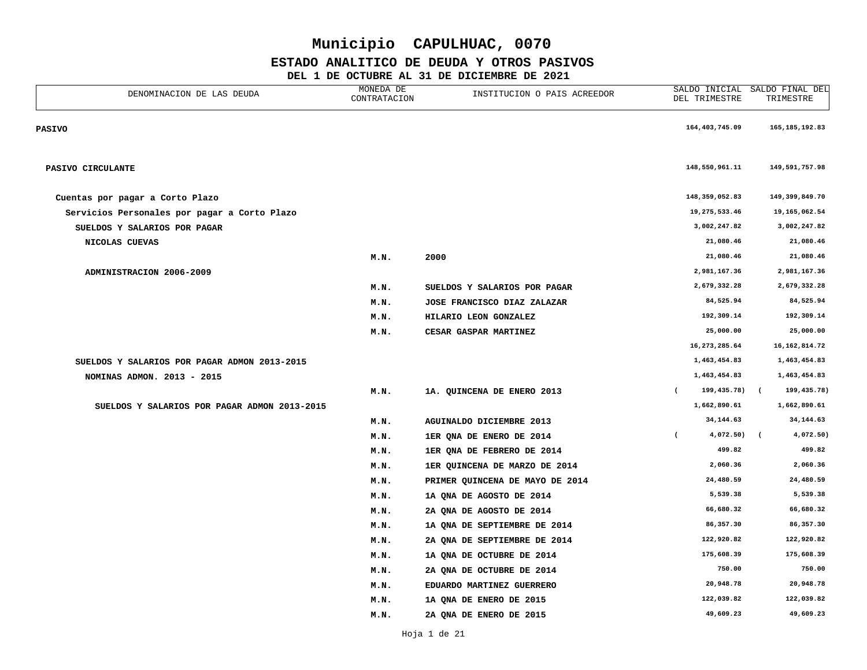#### **ESTADO ANALITICO DE DEUDA Y OTROS PASIVOS**

| DENOMINACION DE LAS DEUDA                    | MONEDA DE<br>CONTRATACION | INSTITUCION O PAIS ACREEDOR     | SALDO INICIAL<br>DEL TRIMESTRE | SALDO FINAL DEL<br>TRIMESTRE |
|----------------------------------------------|---------------------------|---------------------------------|--------------------------------|------------------------------|
| <b>PASIVO</b>                                |                           |                                 | 164,403,745.09                 | 165, 185, 192.83             |
| PASIVO CIRCULANTE                            |                           |                                 | 148,550,961.11                 | 149,591,757.98               |
| Cuentas por pagar a Corto Plazo              |                           |                                 | 148,359,052.83                 | 149,399,849.70               |
| Servicios Personales por pagar a Corto Plazo |                           |                                 | 19,275,533.46                  | 19, 165, 062.54              |
| SUELDOS Y SALARIOS POR PAGAR                 |                           |                                 | 3,002,247.82                   | 3,002,247.82                 |
| NICOLAS CUEVAS                               |                           |                                 | 21,080.46                      | 21,080.46                    |
|                                              | M.N.                      | 2000                            | 21,080.46                      | 21,080.46                    |
| ADMINISTRACION 2006-2009                     |                           |                                 | 2,981,167.36                   | 2,981,167.36                 |
|                                              | M.N.                      | SUELDOS Y SALARIOS POR PAGAR    | 2,679,332.28                   | 2,679,332.28                 |
|                                              | M.N.                      | JOSE FRANCISCO DIAZ ZALAZAR     | 84,525.94                      | 84,525.94                    |
|                                              | M.N.                      | HILARIO LEON GONZALEZ           | 192,309.14                     | 192,309.14                   |
|                                              | M.N.                      | CESAR GASPAR MARTINEZ           | 25,000.00                      | 25,000.00                    |
|                                              |                           |                                 | 16, 273, 285.64                | 16, 162, 814.72              |
| SUELDOS Y SALARIOS POR PAGAR ADMON 2013-2015 |                           |                                 | 1,463,454.83                   | 1,463,454.83                 |
| NOMINAS ADMON. 2013 - 2015                   |                           |                                 | 1,463,454.83                   | 1,463,454.83                 |
|                                              | M.N.                      | 1A. QUINCENA DE ENERO 2013      | 199,435.78)<br>$\overline{ }$  | 199,435.78)<br>$\sqrt{ }$    |
| SUELDOS Y SALARIOS POR PAGAR ADMON 2013-2015 |                           |                                 | 1,662,890.61                   | 1,662,890.61                 |
|                                              | M.N.                      | <b>AGUINALDO DICIEMBRE 2013</b> | 34, 144.63                     | 34, 144.63                   |
|                                              | M.N.                      | 1ER QNA DE ENERO DE 2014        | 4,072.50)<br>$\epsilon$        | 4,072.50)<br>$\epsilon$      |
|                                              | M.N.                      | 1ER QNA DE FEBRERO DE 2014      | 499.82                         | 499.82                       |
|                                              | M.N.                      | 1ER QUINCENA DE MARZO DE 2014   | 2,060.36                       | 2,060.36                     |
|                                              | M.N.                      | PRIMER QUINCENA DE MAYO DE 2014 | 24,480.59                      | 24,480.59                    |
|                                              | M.N.                      | 1A QNA DE AGOSTO DE 2014        | 5,539.38                       | 5,539.38                     |
|                                              | M.N.                      | 2A QNA DE AGOSTO DE 2014        | 66,680.32                      | 66,680.32                    |
|                                              | M.N.                      | 1A QNA DE SEPTIEMBRE DE 2014    | 86,357.30                      | 86, 357.30                   |
|                                              | M.N.                      | 2A QNA DE SEPTIEMBRE DE 2014    | 122,920.82                     | 122,920.82                   |
|                                              | M.N.                      | 1A QNA DE OCTUBRE DE 2014       | 175,608.39                     | 175,608.39                   |
|                                              | M.N.                      | 2A QNA DE OCTUBRE DE 2014       | 750.00                         | 750.00                       |
|                                              | M.N.                      | EDUARDO MARTINEZ GUERRERO       | 20,948.78                      | 20,948.78                    |
|                                              | M.N.                      | 1A QNA DE ENERO DE 2015         | 122,039.82                     | 122,039.82                   |
|                                              | M.N.                      | 2A QNA DE ENERO DE 2015         | 49,609.23                      | 49,609.23                    |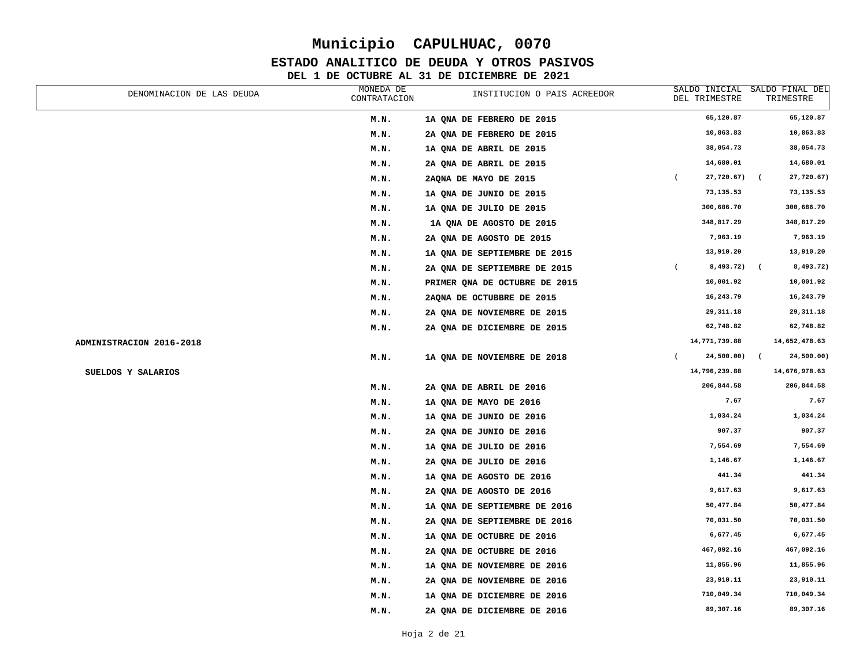#### **ESTADO ANALITICO DE DEUDA Y OTROS PASIVOS**

| DENOMINACION DE LAS DEUDA | MONEDA DE<br>CONTRATACION | INSTITUCION O PAIS ACREEDOR   | SALDO INICIAL<br>DEL TRIMESTRE | SALDO FINAL DEL<br>TRIMESTRE |
|---------------------------|---------------------------|-------------------------------|--------------------------------|------------------------------|
|                           | M.N.                      | 1A QNA DE FEBRERO DE 2015     | 65,120.87                      | 65,120.87                    |
|                           | M.N.                      | 2A QNA DE FEBRERO DE 2015     | 10,863.83                      | 10,863.83                    |
|                           | M.N.                      | 1A QNA DE ABRIL DE 2015       | 38,054.73                      | 38,054.73                    |
|                           | M.N.                      | 2A QNA DE ABRIL DE 2015       | 14,680.01                      | 14,680.01                    |
|                           | M.N.                      | 2AONA DE MAYO DE 2015         | 27,720.67)<br>$\overline{ }$   | 27,720.67)                   |
|                           | M.N.                      | 1A QNA DE JUNIO DE 2015       | 73,135.53                      | 73,135.53                    |
|                           | M.N.                      | 1A QNA DE JULIO DE 2015       | 300,686.70                     | 300,686.70                   |
|                           | M.N.                      | 1A QNA DE AGOSTO DE 2015      | 348,817.29                     | 348,817.29                   |
|                           | M.N.                      | 2A QNA DE AGOSTO DE 2015      | 7,963.19                       | 7,963.19                     |
|                           | M.N.                      | 1A QNA DE SEPTIEMBRE DE 2015  | 13,910.20                      | 13,910.20                    |
|                           | M.N.                      | 2A QNA DE SEPTIEMBRE DE 2015  | 8,493.72)<br>$\overline{ }$    | 8,493.72)<br>$\left($        |
|                           | M.N.                      | PRIMER QNA DE OCTUBRE DE 2015 | 10,001.92                      | 10,001.92                    |
|                           | M.N.                      | 2AQNA DE OCTUBBRE DE 2015     | 16,243.79                      | 16,243.79                    |
|                           | M.N.                      | 2A QNA DE NOVIEMBRE DE 2015   | 29, 311.18                     | 29, 311.18                   |
|                           | M.N.                      | 2A QNA DE DICIEMBRE DE 2015   | 62,748.82                      | 62,748.82                    |
| ADMINISTRACION 2016-2018  |                           |                               | 14,771,739.88                  | 14,652,478.63                |
|                           | M.N.                      | 1A QNA DE NOVIEMBRE DE 2018   | 24,500.00)<br>$\left($         | 24,500.00)<br>$\overline{ }$ |
| SUELDOS Y SALARIOS        |                           |                               | 14,796,239.88                  | 14,676,978.63                |
|                           | M.N.                      | 2A QNA DE ABRIL DE 2016       | 206,844.58                     | 206,844.58                   |
|                           | M.N.                      | 1A QNA DE MAYO DE 2016        | 7.67                           | 7.67                         |
|                           | M.N.                      | 1A QNA DE JUNIO DE 2016       | 1,034.24                       | 1,034.24                     |
|                           | M.N.                      | 2A QNA DE JUNIO DE 2016       | 907.37                         | 907.37                       |
|                           | M.N.                      | 1A ONA DE JULIO DE 2016       | 7,554.69                       | 7,554.69                     |
|                           | M.N.                      | 2A QNA DE JULIO DE 2016       | 1,146.67                       | 1,146.67                     |
|                           | M.N.                      | 1A ONA DE AGOSTO DE 2016      | 441.34                         | 441.34                       |
|                           | M.N.                      | 2A QNA DE AGOSTO DE 2016      | 9,617.63                       | 9,617.63                     |
|                           | M.N.                      | 1A QNA DE SEPTIEMBRE DE 2016  | 50,477.84                      | 50,477.84                    |
|                           | M.N.                      | 2A QNA DE SEPTIEMBRE DE 2016  | 70,031.50                      | 70,031.50                    |
|                           | M.N.                      | 1A QNA DE OCTUBRE DE 2016     | 6,677.45                       | 6,677.45                     |
|                           | M.N.                      | 2A QNA DE OCTUBRE DE 2016     | 467,092.16                     | 467,092.16                   |
|                           | M.N.                      | 1A QNA DE NOVIEMBRE DE 2016   | 11,855.96                      | 11,855.96                    |
|                           | M.N.                      | 2A QNA DE NOVIEMBRE DE 2016   | 23,910.11                      | 23,910.11                    |
|                           | M.N.                      | 1A QNA DE DICIEMBRE DE 2016   | 710,049.34                     | 710,049.34                   |
|                           | M.N.                      | 2A ONA DE DICIEMBRE DE 2016   | 89,307.16                      | 89,307.16                    |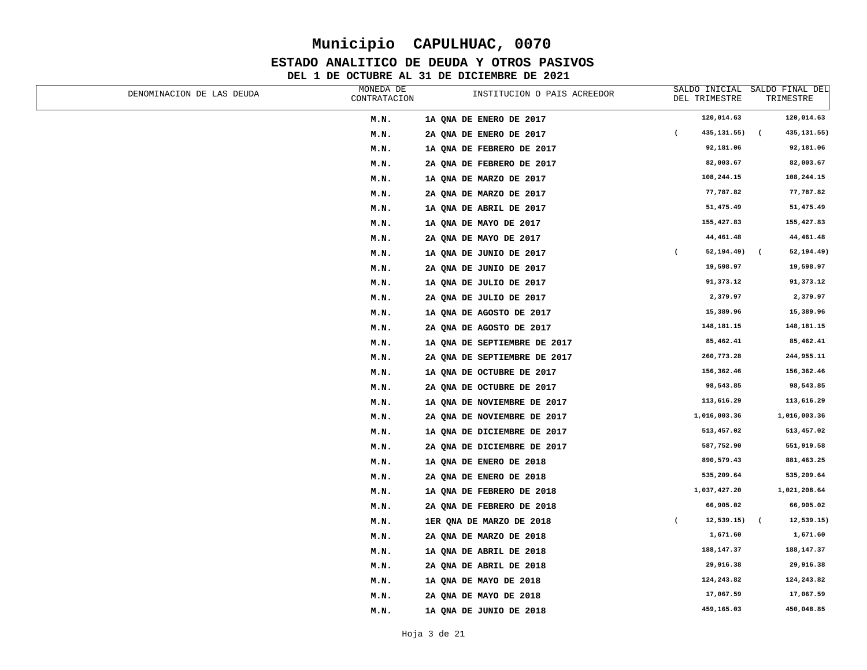#### **ESTADO ANALITICO DE DEUDA Y OTROS PASIVOS**

| DENOMINACION DE LAS DEUDA | MONEDA DE<br>CONTRATACION | INSTITUCION O PAIS ACREEDOR  |                | SALDO INICIAL<br>DEL TRIMESTRE | SALDO FINAL DEL<br>TRIMESTRE           |
|---------------------------|---------------------------|------------------------------|----------------|--------------------------------|----------------------------------------|
|                           | M.N.                      | 1A QNA DE ENERO DE 2017      |                | 120,014.63                     | 120,014.63                             |
|                           | M.N.                      | 2A QNA DE ENERO DE 2017      | $\overline{ }$ | 435, 131.55)                   | $\overline{ }$<br>435, 131.55)         |
|                           | M.N.                      | 1A QNA DE FEBRERO DE 2017    |                | 92,181.06                      | 92,181.06                              |
|                           | M.N.                      | 2A QNA DE FEBRERO DE 2017    |                | 82,003.67                      | 82,003.67                              |
|                           | M.N.                      | 1A QNA DE MARZO DE 2017      |                | 108,244.15                     | 108,244.15                             |
|                           | M.N.                      | 2A QNA DE MARZO DE 2017      |                | 77,787.82                      | 77,787.82                              |
|                           | M.N.                      | 1A QNA DE ABRIL DE 2017      |                | 51,475.49                      | 51,475.49                              |
|                           | M.N.                      | 1A QNA DE MAYO DE 2017       |                | 155,427.83                     | 155,427.83                             |
|                           | M.N.                      | 2A QNA DE MAYO DE 2017       |                | 44,461.48                      | 44,461.48                              |
|                           | M.N.                      | 1A QNA DE JUNIO DE 2017      | $\overline{ }$ | 52,194.49)                     | 52,194.49)<br>$\overline{\phantom{a}}$ |
|                           | M.N.                      | 2A QNA DE JUNIO DE 2017      |                | 19,598.97                      | 19,598.97                              |
|                           | M.N.                      | 1A QNA DE JULIO DE 2017      |                | 91,373.12                      | 91,373.12                              |
|                           | M.N.                      | 2A QNA DE JULIO DE 2017      |                | 2,379.97                       | 2,379.97                               |
|                           | M.N.                      | 1A QNA DE AGOSTO DE 2017     |                | 15,389.96                      | 15,389.96                              |
|                           | M.N.                      | 2A QNA DE AGOSTO DE 2017     |                | 148,181.15                     | 148,181.15                             |
|                           | M.N.                      | 1A QNA DE SEPTIEMBRE DE 2017 |                | 85,462.41                      | 85,462.41                              |
|                           | M.N.                      | 2A QNA DE SEPTIEMBRE DE 2017 |                | 260,773.28                     | 244,955.11                             |
|                           | M.N.                      | 1A QNA DE OCTUBRE DE 2017    |                | 156,362.46                     | 156,362.46                             |
|                           | M.N.                      | 2A QNA DE OCTUBRE DE 2017    |                | 98,543.85                      | 98,543.85                              |
|                           | M.N.                      | 1A QNA DE NOVIEMBRE DE 2017  |                | 113,616.29                     | 113,616.29                             |
|                           | M.N.                      | 2A QNA DE NOVIEMBRE DE 2017  |                | 1,016,003.36                   | 1,016,003.36                           |
|                           | M.N.                      | 1A QNA DE DICIEMBRE DE 2017  |                | 513,457.02                     | 513,457.02                             |
|                           | M.N.                      | 2A QNA DE DICIEMBRE DE 2017  |                | 587,752.90                     | 551,919.58                             |
|                           | M.N.                      | 1A QNA DE ENERO DE 2018      |                | 890,579.43                     | 881,463.25                             |
|                           | M.N.                      | 2A QNA DE ENERO DE 2018      |                | 535,209.64                     | 535,209.64                             |
|                           | M.N.                      | 1A QNA DE FEBRERO DE 2018    |                | 1,037,427.20                   | 1,021,208.64                           |
|                           | M.N.                      | 2A QNA DE FEBRERO DE 2018    |                | 66,905.02                      | 66,905.02                              |
|                           | M.N.                      | 1ER QNA DE MARZO DE 2018     | $\overline{ }$ | 12,539.15)                     | 12,539.15)<br>$\overline{ }$           |
|                           | M.N.                      | 2A QNA DE MARZO DE 2018      |                | 1,671.60                       | 1,671.60                               |
|                           | M.N.                      | 1A QNA DE ABRIL DE 2018      |                | 188, 147.37                    | 188, 147.37                            |
|                           | M.N.                      | 2A QNA DE ABRIL DE 2018      |                | 29,916.38                      | 29,916.38                              |
|                           | M.N.                      | 1A QNA DE MAYO DE 2018       |                | 124,243.82                     | 124,243.82                             |
|                           | M.N.                      | 2A QNA DE MAYO DE 2018       |                | 17,067.59                      | 17,067.59                              |
|                           | M.N.                      | 1A QNA DE JUNIO DE 2018      |                | 459,165.03                     | 450,048.85                             |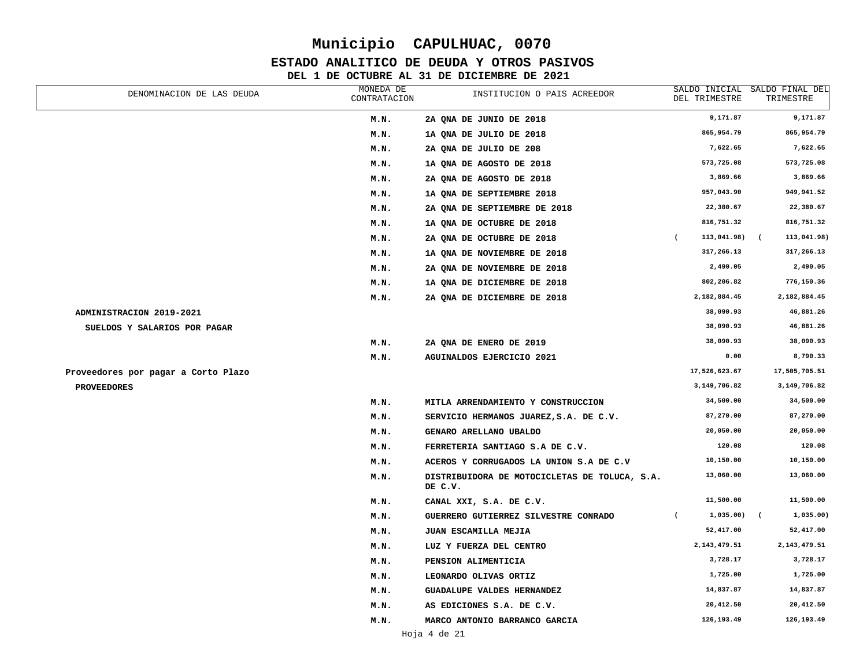#### **ESTADO ANALITICO DE DEUDA Y OTROS PASIVOS**

| DENOMINACION DE LAS DEUDA           | MONEDA DE<br>CONTRATACION | INSTITUCION O PAIS ACREEDOR                              | DEL TRIMESTRE                 | SALDO INICIAL SALDO FINAL DEL<br>TRIMESTRE |
|-------------------------------------|---------------------------|----------------------------------------------------------|-------------------------------|--------------------------------------------|
|                                     | M.N.                      | 2A ONA DE JUNIO DE 2018                                  | 9,171.87                      | 9,171.87                                   |
|                                     | M.N.                      | 1A QNA DE JULIO DE 2018                                  | 865,954.79                    | 865,954.79                                 |
|                                     | M.N.                      | 2A QNA DE JULIO DE 208                                   | 7,622.65                      | 7,622.65                                   |
|                                     | M.N.                      | 1A QNA DE AGOSTO DE 2018                                 | 573,725.08                    | 573,725.08                                 |
|                                     | M.N.                      | 2A QNA DE AGOSTO DE 2018                                 | 3,869.66                      | 3,869.66                                   |
|                                     | M.N.                      | 1A ONA DE SEPTIEMBRE 2018                                | 957,043.90                    | 949,941.52                                 |
|                                     | M.N.                      | 2A QNA DE SEPTIEMBRE DE 2018                             | 22,380.67                     | 22,380.67                                  |
|                                     | M.N.                      | 1A QNA DE OCTUBRE DE 2018                                | 816,751.32                    | 816,751.32                                 |
|                                     | M.N.                      | 2A QNA DE OCTUBRE DE 2018                                | 113,041.98)<br>$\overline{ }$ | 113,041.98)<br>$\overline{ }$              |
|                                     | M.N.                      | 1A QNA DE NOVIEMBRE DE 2018                              | 317,266.13                    | 317,266.13                                 |
|                                     | M.N.                      | 2A QNA DE NOVIEMBRE DE 2018                              | 2,490.05                      | 2,490.05                                   |
|                                     | M.N.                      | 1A QNA DE DICIEMBRE DE 2018                              | 802,206.82                    | 776,150.36                                 |
|                                     | M.N.                      | 2A QNA DE DICIEMBRE DE 2018                              | 2,182,884.45                  | 2,182,884.45                               |
| ADMINISTRACION 2019-2021            |                           |                                                          | 38,090.93                     | 46,881.26                                  |
| SUELDOS Y SALARIOS POR PAGAR        |                           |                                                          | 38,090.93                     | 46,881.26                                  |
|                                     | M.N.                      | 2A QNA DE ENERO DE 2019                                  | 38,090.93                     | 38,090.93                                  |
|                                     | M.N.                      | AGUINALDOS EJERCICIO 2021                                | 0.00                          | 8,790.33                                   |
| Proveedores por pagar a Corto Plazo |                           |                                                          | 17,526,623.67                 | 17,505,705.51                              |
| <b>PROVEEDORES</b>                  |                           |                                                          | 3,149,706.82                  | 3, 149, 706.82                             |
|                                     | M.N.                      | MITLA ARRENDAMIENTO Y CONSTRUCCION                       | 34,500.00                     | 34,500.00                                  |
|                                     | M.N.                      | SERVICIO HERMANOS JUAREZ, S.A. DE C.V.                   | 87,270.00                     | 87,270.00                                  |
|                                     | M.N.                      | GENARO ARELLANO UBALDO                                   | 20,050.00                     | 20,050.00                                  |
|                                     | M.N.                      | FERRETERIA SANTIAGO S.A DE C.V.                          | 120.08                        | 120.08                                     |
|                                     | M.N.                      | ACEROS Y CORRUGADOS LA UNION S.A DE C.V                  | 10,150.00                     | 10,150.00                                  |
|                                     | M.N.                      | DISTRIBUIDORA DE MOTOCICLETAS DE TOLUCA, S.A.<br>DE C.V. | 13,060.00                     | 13,060.00                                  |
|                                     | M.N.                      | CANAL XXI, S.A. DE C.V.                                  | 11,500.00                     | 11,500.00                                  |
|                                     | M.N.                      | GUERRERO GUTIERREZ SILVESTRE CONRADO                     | 1,035.00)<br>$\overline{ }$   | 1,035.00)<br>$\overline{ }$                |
|                                     | M.N.                      | JUAN ESCAMILLA MEJIA                                     | 52,417.00                     | 52,417.00                                  |
|                                     | M.N.                      | LUZ Y FUERZA DEL CENTRO                                  | 2, 143, 479.51                | 2, 143, 479.51                             |
|                                     | M.N.                      | PENSION ALIMENTICIA                                      | 3,728.17                      | 3,728.17                                   |
|                                     | M.N.                      | LEONARDO OLIVAS ORTIZ                                    | 1,725.00                      | 1,725.00                                   |
|                                     | M.N.                      | GUADALUPE VALDES HERNANDEZ                               | 14,837.87                     | 14,837.87                                  |
|                                     | M.N.                      | AS EDICIONES S.A. DE C.V.                                | 20,412.50                     | 20,412.50                                  |
|                                     | M.N.                      | MARCO ANTONIO BARRANCO GARCIA                            | 126,193.49                    | 126,193.49                                 |
|                                     |                           |                                                          |                               |                                            |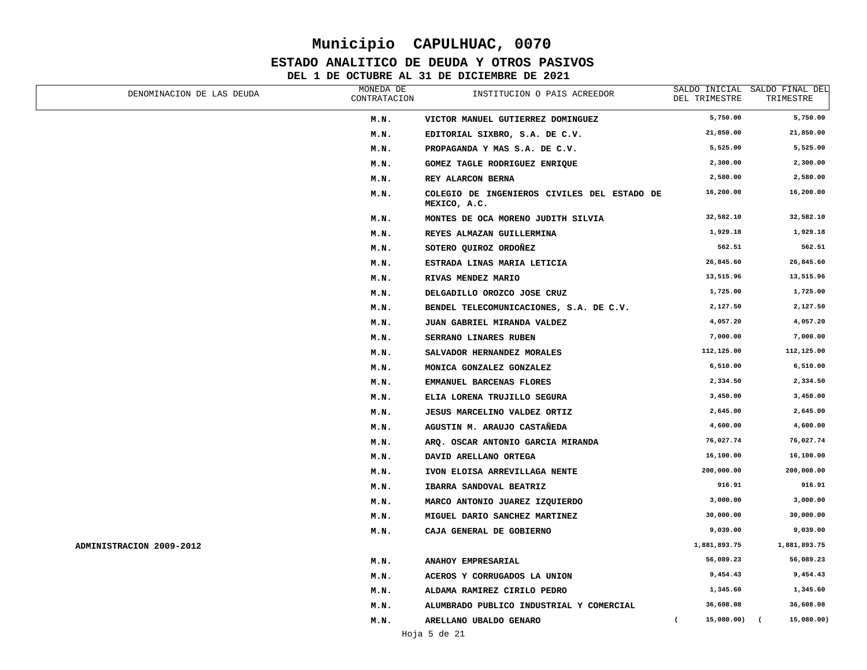### **ESTADO ANALITICO DE DEUDA Y OTROS PASIVOS**

| DENOMINACION DE LAS DEUDA | MONEDA DE<br>CONTRATACION | INSTITUCION O PAIS ACREEDOR                                 | DEL TRIMESTRE            | SALDO INICIAL SALDO FINAL DEL<br>TRIMESTRE |
|---------------------------|---------------------------|-------------------------------------------------------------|--------------------------|--------------------------------------------|
|                           | M.N.                      | VICTOR MANUEL GUTIERREZ DOMINGUEZ                           | 5,750.00                 | 5,750.00                                   |
|                           | M.N.                      | EDITORIAL SIXBRO, S.A. DE C.V.                              | 21,850.00                | 21,850.00                                  |
|                           | M.N.                      | PROPAGANDA Y MAS S.A. DE C.V.                               | 5,525.00                 | 5,525.00                                   |
|                           | M.N.                      | GOMEZ TAGLE RODRIGUEZ ENRIQUE                               | 2,300.00                 | 2,300.00                                   |
|                           | M.N.                      | REY ALARCON BERNA                                           | 2,580.00                 | 2,580.00                                   |
|                           | M.N.                      | COLEGIO DE INGENIEROS CIVILES DEL ESTADO DE<br>MEXICO, A.C. | 16,200.00                | 16,200.00                                  |
|                           | M.N.                      | MONTES DE OCA MORENO JUDITH SILVIA                          | 32,582.10                | 32,582.10                                  |
|                           | M.N.                      | REYES ALMAZAN GUILLERMINA                                   | 1,929.18                 | 1,929.18                                   |
|                           | M.N.                      | SOTERO QUIROZ ORDOÑEZ                                       | 562.51                   | 562.51                                     |
|                           | M.N.                      | ESTRADA LINAS MARIA LETICIA                                 | 26,845.60                | 26,845.60                                  |
|                           | M.N.                      | RIVAS MENDEZ MARIO                                          | 13,515.96                | 13,515.96                                  |
|                           | M.N.                      | DELGADILLO OROZCO JOSE CRUZ                                 | 1,725.00                 | 1,725.00                                   |
|                           | M.N.                      | BENDEL TELECOMUNICACIONES, S.A. DE C.V.                     | 2,127.50                 | 2,127.50                                   |
|                           | M.N.                      | JUAN GABRIEL MIRANDA VALDEZ                                 | 4,057.20                 | 4,057.20                                   |
|                           | M.N.                      | SERRANO LINARES RUBEN                                       | 7,000.00                 | 7,000.00                                   |
|                           | M.N.                      | SALVADOR HERNANDEZ MORALES                                  | 112,125.00               | 112,125.00                                 |
|                           | M.N.                      | MONICA GONZALEZ GONZALEZ                                    | 6,510.00                 | 6,510.00                                   |
|                           | M.N.                      | EMMANUEL BARCENAS FLORES                                    | 2,334.50                 | 2,334.50                                   |
|                           | M.N.                      | ELIA LORENA TRUJILLO SEGURA                                 | 3,450.00                 | 3,450.00                                   |
|                           | M.N.                      | JESUS MARCELINO VALDEZ ORTIZ                                | 2,645.00                 | 2,645.00                                   |
|                           | M.N.                      | AGUSTIN M. ARAUJO CASTAÑEDA                                 | 4,600.00                 | 4,600.00                                   |
|                           | M.N.                      | ARQ. OSCAR ANTONIO GARCIA MIRANDA                           | 76,027.74                | 76,027.74                                  |
|                           | M.N.                      | DAVID ARELLANO ORTEGA                                       | 16,100.00                | 16,100.00                                  |
|                           | M.N.                      | IVON ELOISA ARREVILLAGA NENTE                               | 200,000.00               | 200,000.00                                 |
|                           | M.N.                      | IBARRA SANDOVAL BEATRIZ                                     | 916.91                   | 916.91                                     |
|                           | M.N.                      | MARCO ANTONIO JUAREZ IZQUIERDO                              | 3,000.00                 | 3,000.00                                   |
|                           | M.N.                      | MIGUEL DARIO SANCHEZ MARTINEZ                               | 30,000.00                | 30,000.00                                  |
|                           | M.N.                      | CAJA GENERAL DE GOBIERNO                                    | 9,039.00                 | 9,039.00                                   |
| ADMINISTRACION 2009-2012  |                           |                                                             | 1,881,893.75             | 1,881,893.75                               |
|                           | M.N.                      | <b>ANAHOY EMPRESARIAL</b>                                   | 56,089.23                | 56,089.23                                  |
|                           | M.N.                      | ACEROS Y CORRUGADOS LA UNION                                | 9,454.43                 | 9,454.43                                   |
|                           | M.N.                      | ALDAMA RAMIREZ CIRILO PEDRO                                 | 1,345.60                 | 1,345.60                                   |
|                           | M.N.                      | ALUMBRADO PUBLICO INDUSTRIAL Y COMERCIAL                    | 36,608.08                | 36,608.08                                  |
|                           | M.N.                      | ARELLANO UBALDO GENARO                                      | 15,080.00) (<br>$\left($ | 15,080.00)                                 |
|                           |                           | $   -$                                                      |                          |                                            |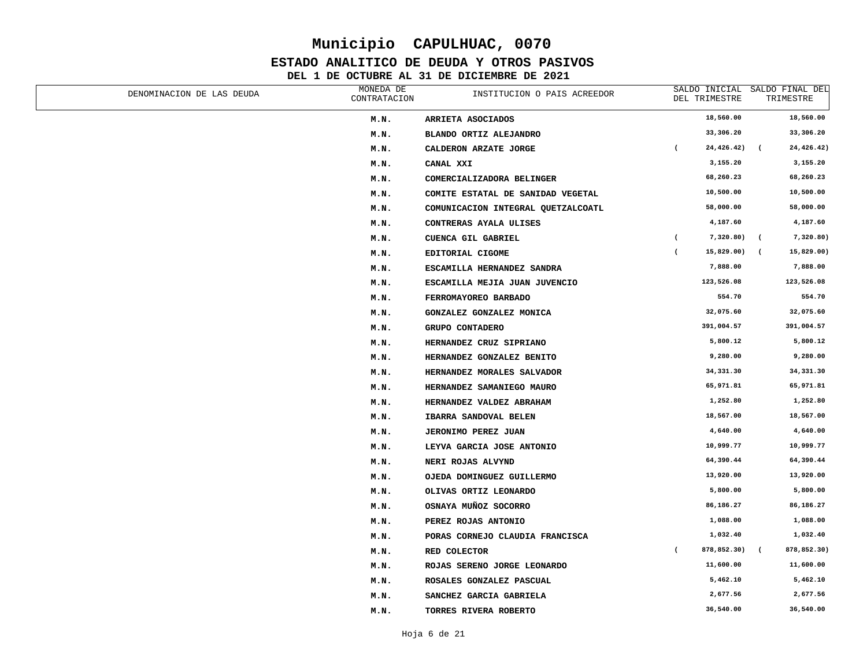### **ESTADO ANALITICO DE DEUDA Y OTROS PASIVOS**

| DENOMINACION DE LAS DEUDA | MONEDA DE<br>CONTRATACION | INSTITUCION O PAIS ACREEDOR        |                | SALDO INICIAL SALDO FINAL DEL<br>DEL TRIMESTRE |                          | TRIMESTRE   |
|---------------------------|---------------------------|------------------------------------|----------------|------------------------------------------------|--------------------------|-------------|
|                           | M.N.                      | ARRIETA ASOCIADOS                  |                | 18,560.00                                      |                          | 18,560.00   |
|                           | M.N.                      | BLANDO ORTIZ ALEJANDRO             |                | 33,306.20                                      |                          | 33,306.20   |
|                           | M.N.                      | CALDERON ARZATE JORGE              | $\overline{ }$ | 24,426.42)                                     | $\overline{ }$           | 24,426.42)  |
|                           | M.N.                      | CANAL XXI                          |                | 3,155.20                                       |                          | 3,155.20    |
|                           | M.N.                      | COMERCIALIZADORA BELINGER          |                | 68,260.23                                      |                          | 68,260.23   |
|                           | M.N.                      | COMITE ESTATAL DE SANIDAD VEGETAL  |                | 10,500.00                                      |                          | 10,500.00   |
|                           | M.N.                      | COMUNICACION INTEGRAL QUETZALCOATL |                | 58,000.00                                      |                          | 58,000.00   |
|                           | M.N.                      | CONTRERAS AYALA ULISES             |                | 4,187.60                                       |                          | 4,187.60    |
|                           | M.N.                      | <b>CUENCA GIL GABRIEL</b>          | $\overline{ }$ | 7,320.80)                                      | $\overline{\phantom{a}}$ | 7,320.80)   |
|                           | M.N.                      | EDITORIAL CIGOME                   | $\overline{ }$ | 15,829.00)                                     | $\sqrt{2}$               | 15,829.00)  |
|                           | M.N.                      | ESCAMILLA HERNANDEZ SANDRA         |                | 7,888.00                                       |                          | 7,888.00    |
|                           | M.N.                      | ESCAMILLA MEJIA JUAN JUVENCIO      |                | 123,526.08                                     |                          | 123,526.08  |
|                           | M.N.                      | FERROMAYOREO BARBADO               |                | 554.70                                         |                          | 554.70      |
|                           | M.N.                      | GONZALEZ GONZALEZ MONICA           |                | 32,075.60                                      |                          | 32,075.60   |
|                           | M.N.                      | GRUPO CONTADERO                    |                | 391,004.57                                     |                          | 391,004.57  |
|                           | M.N.                      | HERNANDEZ CRUZ SIPRIANO            |                | 5,800.12                                       |                          | 5,800.12    |
|                           | M.N.                      | HERNANDEZ GONZALEZ BENITO          |                | 9,280.00                                       |                          | 9,280.00    |
|                           | M.N.                      | HERNANDEZ MORALES SALVADOR         |                | 34,331.30                                      |                          | 34, 331.30  |
|                           | M.N.                      | HERNANDEZ SAMANIEGO MAURO          |                | 65,971.81                                      |                          | 65,971.81   |
|                           | M.N.                      | HERNANDEZ VALDEZ ABRAHAM           |                | 1,252.80                                       |                          | 1,252.80    |
|                           | M.N.                      | IBARRA SANDOVAL BELEN              |                | 18,567.00                                      |                          | 18,567.00   |
|                           | M.N.                      | JERONIMO PEREZ JUAN                |                | 4,640.00                                       |                          | 4,640.00    |
|                           | M.N.                      | LEYVA GARCIA JOSE ANTONIO          |                | 10,999.77                                      |                          | 10,999.77   |
|                           | M.N.                      | NERI ROJAS ALVYND                  |                | 64,390.44                                      |                          | 64,390.44   |
|                           | M.N.                      | OJEDA DOMINGUEZ GUILLERMO          |                | 13,920.00                                      |                          | 13,920.00   |
|                           | M.N.                      | OLIVAS ORTIZ LEONARDO              |                | 5,800.00                                       |                          | 5,800.00    |
|                           | M.N.                      | OSNAYA MUÑOZ SOCORRO               |                | 86,186.27                                      |                          | 86,186.27   |
|                           | M.N.                      | PEREZ ROJAS ANTONIO                |                | 1,088.00                                       |                          | 1,088.00    |
|                           | M.N.                      | PORAS CORNEJO CLAUDIA FRANCISCA    |                | 1,032.40                                       |                          | 1,032.40    |
|                           | M.N.                      | RED COLECTOR                       | $\overline{ }$ | 878,852.30)                                    | $\epsilon$               | 878,852.30) |
|                           | M.N.                      | ROJAS SERENO JORGE LEONARDO        |                | 11,600.00                                      |                          | 11,600.00   |
|                           | M.N.                      | ROSALES GONZALEZ PASCUAL           |                | 5,462.10                                       |                          | 5,462.10    |
|                           | M.N.                      | SANCHEZ GARCIA GABRIELA            |                | 2,677.56                                       |                          | 2,677.56    |
|                           | M.N.                      | TORRES RIVERA ROBERTO              |                | 36,540.00                                      |                          | 36,540.00   |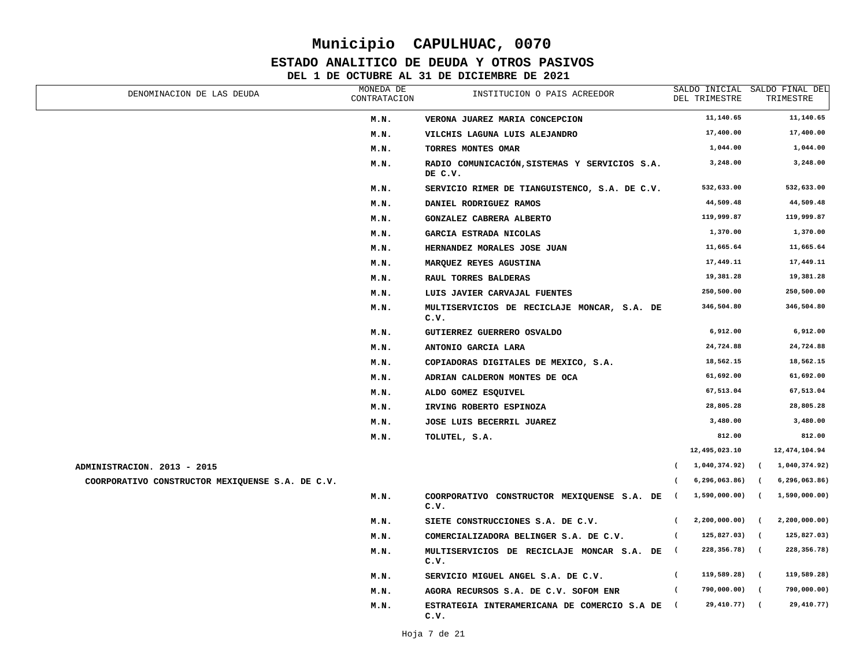#### **ESTADO ANALITICO DE DEUDA Y OTROS PASIVOS**

| DENOMINACION DE LAS DEUDA                        | MONEDA DE<br>CONTRATACION | INSTITUCION O PAIS ACREEDOR                              | DEL TRIMESTRE                   | SALDO INICIAL SALDO FINAL DEL<br>TRIMESTRE |
|--------------------------------------------------|---------------------------|----------------------------------------------------------|---------------------------------|--------------------------------------------|
|                                                  | M.N.                      | VERONA JUAREZ MARIA CONCEPCION                           | 11,140.65                       | 11,140.65                                  |
|                                                  | M.N.                      | VILCHIS LAGUNA LUIS ALEJANDRO                            | 17,400.00                       | 17,400.00                                  |
|                                                  | M.N.                      | TORRES MONTES OMAR                                       | 1,044.00                        | 1,044.00                                   |
|                                                  | M.N.                      | RADIO COMUNICACIÓN, SISTEMAS Y SERVICIOS S.A.<br>DE C.V. | 3,248.00                        | 3,248.00                                   |
|                                                  | M.N.                      | SERVICIO RIMER DE TIANGUISTENCO, S.A. DE C.V.            | 532,633.00                      | 532,633.00                                 |
|                                                  | M.N.                      | DANIEL RODRIGUEZ RAMOS                                   | 44,509.48                       | 44,509.48                                  |
|                                                  | M.N.                      | GONZALEZ CABRERA ALBERTO                                 | 119,999.87                      | 119,999.87                                 |
|                                                  | M.N.                      | GARCIA ESTRADA NICOLAS                                   | 1,370.00                        | 1,370.00                                   |
|                                                  | M.N.                      | HERNANDEZ MORALES JOSE JUAN                              | 11,665.64                       | 11,665.64                                  |
|                                                  | M.N.                      | MARQUEZ REYES AGUSTINA                                   | 17,449.11                       | 17,449.11                                  |
|                                                  | M.N.                      | RAUL TORRES BALDERAS                                     | 19,381.28                       | 19,381.28                                  |
|                                                  | M.N.                      | LUIS JAVIER CARVAJAL FUENTES                             | 250,500.00                      | 250,500.00                                 |
|                                                  | M.N.                      | MULTISERVICIOS DE RECICLAJE MONCAR, S.A. DE<br>c.v.      | 346,504.80                      | 346,504.80                                 |
|                                                  | M.N.                      | GUTIERREZ GUERRERO OSVALDO                               | 6,912.00                        | 6,912.00                                   |
|                                                  | M.N.                      | ANTONIO GARCIA LARA                                      | 24,724.88                       | 24,724.88                                  |
|                                                  | M.N.                      | COPIADORAS DIGITALES DE MEXICO, S.A.                     | 18,562.15                       | 18,562.15                                  |
|                                                  | M.N.                      | ADRIAN CALDERON MONTES DE OCA                            | 61,692.00                       | 61,692.00                                  |
|                                                  | M.N.                      | ALDO GOMEZ ESQUIVEL                                      | 67,513.04                       | 67,513.04                                  |
|                                                  | M.N.                      | IRVING ROBERTO ESPINOZA                                  | 28,805.28                       | 28,805.28                                  |
|                                                  | M.N.                      | JOSE LUIS BECERRIL JUAREZ                                | 3,480.00                        | 3,480.00                                   |
|                                                  | M.N.                      | TOLUTEL, S.A.                                            | 812.00                          | 812.00                                     |
|                                                  |                           |                                                          | 12,495,023.10                   | 12, 474, 104.94                            |
| ADMINISTRACION. 2013 - 2015                      |                           |                                                          | 1,040,374.92)<br>$\epsilon$     | 1,040,374.92)<br>$\sqrt{2}$                |
| COORPORATIVO CONSTRUCTOR MEXIQUENSE S.A. DE C.V. |                           |                                                          | 6, 296, 063.86)<br>$\left($     | 6, 296, 063.86)<br>$\sqrt{2}$              |
|                                                  | M.N.                      | COORPORATIVO CONSTRUCTOR MEXIQUENSE S.A. DE<br>c.v.      | 1,590,000.00)<br>$\sqrt{2}$     | 1,590,000.00)<br>$\sqrt{2}$                |
|                                                  | M.N.                      | SIETE CONSTRUCCIONES S.A. DE C.V.                        | 2,200,000.00)<br>$\overline{ }$ | 2,200,000.00)<br>$\sqrt{2}$                |
|                                                  | M.N.                      | COMERCIALIZADORA BELINGER S.A. DE C.V.                   | 125,827.03)<br>$\overline{ }$   | 125,827.03)<br>$\sqrt{ }$                  |
|                                                  | M.N.                      | MULTISERVICIOS DE RECICLAJE MONCAR S.A. DE<br>c.v.       | 228,356.78)<br>$\sqrt{2}$       | 228, 356.78)<br>$\sqrt{2}$                 |
|                                                  | M.N.                      | SERVICIO MIGUEL ANGEL S.A. DE C.V.                       | 119,589.28)<br>$\overline{ }$   | 119,589.28)<br>$\sqrt{2}$                  |
|                                                  | M.N.                      | AGORA RECURSOS S.A. DE C.V. SOFOM ENR                    | 790,000.00)<br>$\overline{ }$   | 790,000.00)<br>$\sqrt{ }$                  |
|                                                  | M.N.                      | ESTRATEGIA INTERAMERICANA DE COMERCIO S.A DE<br>c.v.     | 29,410.77)<br>$\sqrt{2}$        | 29,410.77)<br>$\sqrt{2}$                   |
|                                                  |                           |                                                          |                                 |                                            |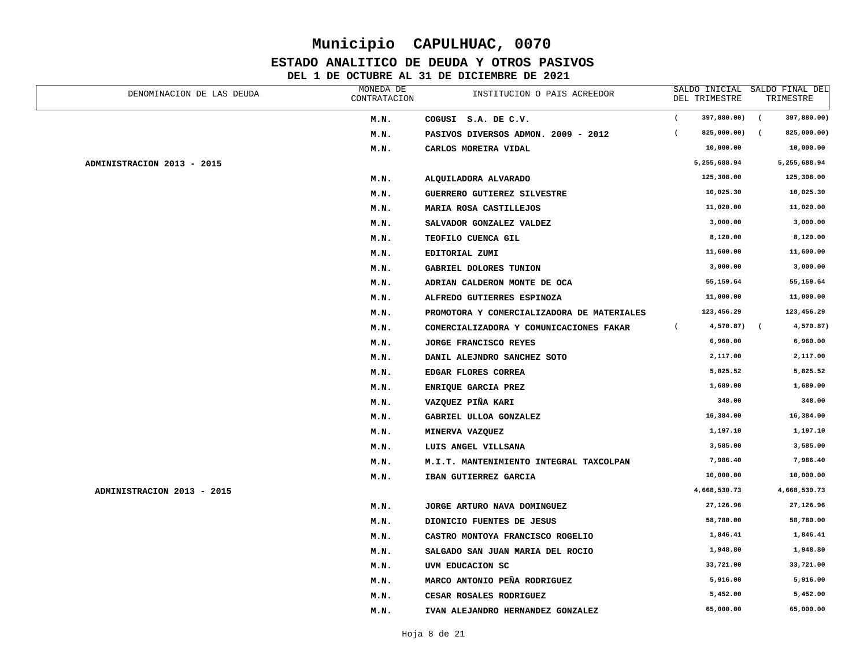### **ESTADO ANALITICO DE DEUDA Y OTROS PASIVOS**

| DENOMINACION DE LAS DEUDA  | MONEDA DE<br>CONTRATACION | INSTITUCION O PAIS ACREEDOR                |                | DEL TRIMESTRE |                | SALDO INICIAL SALDO FINAL DEL<br>TRIMESTRE |
|----------------------------|---------------------------|--------------------------------------------|----------------|---------------|----------------|--------------------------------------------|
|                            | M.N.                      | COGUSI S.A. DE C.V.                        | $\overline{ }$ | 397,880.00)   | $\sqrt{ }$     | 397,880.00)                                |
|                            | M.N.                      | PASIVOS DIVERSOS ADMON. 2009 - 2012        | $\overline{ }$ | 825,000.00)   | $\overline{ }$ | 825,000.00)                                |
|                            | M.N.                      | CARLOS MOREIRA VIDAL                       |                | 10,000.00     |                | 10,000.00                                  |
| ADMINISTRACION 2013 - 2015 |                           |                                            |                | 5,255,688.94  |                | 5,255,688.94                               |
|                            | M.N.                      | ALQUILADORA ALVARADO                       |                | 125,308.00    |                | 125,308.00                                 |
|                            | M.N.                      | GUERRERO GUTIEREZ SILVESTRE                |                | 10,025.30     |                | 10,025.30                                  |
|                            | M.N.                      | MARIA ROSA CASTILLEJOS                     |                | 11,020.00     |                | 11,020.00                                  |
|                            | M.N.                      | SALVADOR GONZALEZ VALDEZ                   |                | 3,000.00      |                | 3,000.00                                   |
|                            | M.N.                      | TEOFILO CUENCA GIL                         |                | 8,120.00      |                | 8,120.00                                   |
|                            | M.N.                      | EDITORIAL ZUMI                             |                | 11,600.00     |                | 11,600.00                                  |
|                            | M.N.                      | GABRIEL DOLORES TUNION                     |                | 3,000.00      |                | 3,000.00                                   |
|                            | M.N.                      | ADRIAN CALDERON MONTE DE OCA               |                | 55,159.64     |                | 55,159.64                                  |
|                            | M.N.                      | ALFREDO GUTIERRES ESPINOZA                 |                | 11,000.00     |                | 11,000.00                                  |
|                            | M.N.                      | PROMOTORA Y COMERCIALIZADORA DE MATERIALES |                | 123,456.29    |                | 123,456.29                                 |
|                            | M.N.                      | COMERCIALIZADORA Y COMUNICACIONES FAKAR    | $\overline{ }$ | 4,570.87)     | $\sqrt{2}$     | 4,570.87)                                  |
|                            | M.N.                      | JORGE FRANCISCO REYES                      |                | 6,960.00      |                | 6,960.00                                   |
|                            | M.N.                      | DANIL ALEJNDRO SANCHEZ SOTO                |                | 2,117.00      |                | 2,117.00                                   |
|                            | M.N.                      | EDGAR FLORES CORREA                        |                | 5,825.52      |                | 5,825.52                                   |
|                            | M.N.                      | ENRIQUE GARCIA PREZ                        |                | 1,689.00      |                | 1,689.00                                   |
|                            | M.N.                      | VAZQUEZ PIÑA KARI                          |                | 348.00        |                | 348.00                                     |
|                            | M.N.                      | GABRIEL ULLOA GONZALEZ                     |                | 16,384.00     |                | 16,384.00                                  |
|                            | M.N.                      | MINERVA VAZQUEZ                            |                | 1,197.10      |                | 1,197.10                                   |
|                            | M.N.                      | LUIS ANGEL VILLSANA                        |                | 3,585.00      |                | 3,585.00                                   |
|                            | M.N.                      | M.I.T. MANTENIMIENTO INTEGRAL TAXCOLPAN    |                | 7,986.40      |                | 7,986.40                                   |
|                            | M.N.                      | IBAN GUTIERREZ GARCIA                      |                | 10,000.00     |                | 10,000.00                                  |
| ADMINISTRACION 2013 - 2015 |                           |                                            |                | 4,668,530.73  |                | 4,668,530.73                               |
|                            | M.N.                      | JORGE ARTURO NAVA DOMINGUEZ                |                | 27,126.96     |                | 27,126.96                                  |
|                            | M.N.                      | DIONICIO FUENTES DE JESUS                  |                | 58,780.00     |                | 58,780.00                                  |
|                            | M.N.                      | CASTRO MONTOYA FRANCISCO ROGELIO           |                | 1,846.41      |                | 1,846.41                                   |
|                            | M.N.                      | SALGADO SAN JUAN MARIA DEL ROCIO           |                | 1,948.80      |                | 1,948.80                                   |
|                            | M.N.                      | UVM EDUCACION SC                           |                | 33,721.00     |                | 33,721.00                                  |
|                            | M.N.                      | MARCO ANTONIO PEÑA RODRIGUEZ               |                | 5,916.00      |                | 5,916.00                                   |
|                            | M.N.                      | CESAR ROSALES RODRIGUEZ                    |                | 5,452.00      |                | 5,452.00                                   |
|                            | M.N.                      | IVAN ALEJANDRO HERNANDEZ GONZALEZ          |                | 65,000.00     |                | 65,000.00                                  |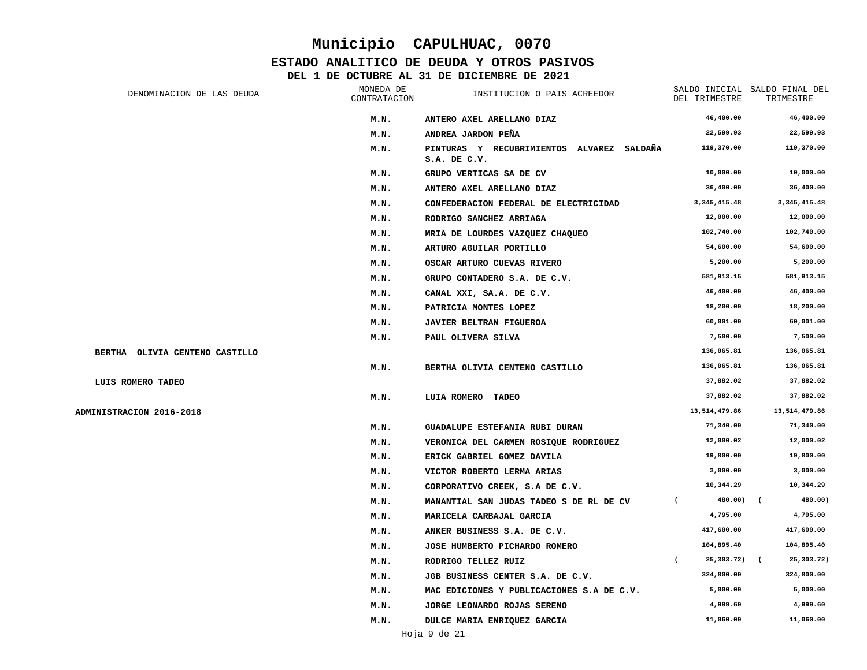### **ESTADO ANALITICO DE DEUDA Y OTROS PASIVOS**

| DENOMINACION DE LAS DEUDA      | MONEDA DE<br>CONTRATACION | INSTITUCION O PAIS ACREEDOR                               | DEL TRIMESTRE                | SALDO INICIAL SALDO FINAL DEL<br>TRIMESTRE |
|--------------------------------|---------------------------|-----------------------------------------------------------|------------------------------|--------------------------------------------|
|                                | M.N.                      | ANTERO AXEL ARELLANO DIAZ                                 | 46,400.00                    | 46,400.00                                  |
|                                | M.N.                      | ANDREA JARDON PEÑA                                        | 22,599.93                    | 22,599.93                                  |
|                                | M.N.                      | PINTURAS Y RECUBRIMIENTOS ALVAREZ SALDAÑA<br>S.A. DE C.V. | 119,370.00                   | 119,370.00                                 |
|                                | M.N.                      | GRUPO VERTICAS SA DE CV                                   | 10,000.00                    | 10,000.00                                  |
|                                | M.N.                      | ANTERO AXEL ARELLANO DIAZ                                 | 36,400.00                    | 36,400.00                                  |
|                                | M.N.                      | CONFEDERACION FEDERAL DE ELECTRICIDAD                     | 3, 345, 415.48               | 3, 345, 415.48                             |
|                                | M.N.                      | RODRIGO SANCHEZ ARRIAGA                                   | 12,000.00                    | 12,000.00                                  |
|                                | M.N.                      | MRIA DE LOURDES VAZQUEZ CHAQUEO                           | 102,740.00                   | 102,740.00                                 |
|                                | M.N.                      | ARTURO AGUILAR PORTILLO                                   | 54,600.00                    | 54,600.00                                  |
|                                | M.N.                      | OSCAR ARTURO CUEVAS RIVERO                                | 5,200.00                     | 5,200.00                                   |
|                                | M.N.                      | GRUPO CONTADERO S.A. DE C.V.                              | 581,913.15                   | 581,913.15                                 |
|                                | M.N.                      | CANAL XXI, SA.A. DE C.V.                                  | 46,400.00                    | 46,400.00                                  |
|                                | M.N.                      | PATRICIA MONTES LOPEZ                                     | 18,200.00                    | 18,200.00                                  |
|                                | M.N.                      | <b>JAVIER BELTRAN FIGUEROA</b>                            | 60,001.00                    | 60,001.00                                  |
|                                | M.N.                      | PAUL OLIVERA SILVA                                        | 7,500.00                     | 7,500.00                                   |
| BERTHA OLIVIA CENTENO CASTILLO |                           |                                                           | 136,065.81                   | 136,065.81                                 |
|                                | M.N.                      | BERTHA OLIVIA CENTENO CASTILLO                            | 136,065.81                   | 136,065.81                                 |
| LUIS ROMERO TADEO              |                           |                                                           | 37,882.02                    | 37,882.02                                  |
|                                | M.N.                      | LUIA ROMERO<br><b>TADEO</b>                               | 37,882.02                    | 37,882.02                                  |
| ADMINISTRACION 2016-2018       |                           |                                                           | 13,514,479.86                | 13,514,479.86                              |
|                                | M.N.                      | GUADALUPE ESTEFANIA RUBI DURAN                            | 71,340.00                    | 71,340.00                                  |
|                                | M.N.                      | VERONICA DEL CARMEN ROSIQUE RODRIGUEZ                     | 12,000.02                    | 12,000.02                                  |
|                                | M.N.                      | ERICK GABRIEL GOMEZ DAVILA                                | 19,800.00                    | 19,800.00                                  |
|                                | M.N.                      | VICTOR ROBERTO LERMA ARIAS                                | 3,000.00                     | 3,000.00                                   |
|                                | M.N.                      | CORPORATIVO CREEK, S.A DE C.V.                            | 10,344.29                    | 10,344.29                                  |
|                                | M.N.                      | MANANTIAL SAN JUDAS TADEO S DE RL DE CV                   | 480.00)<br>- 1               | 480.00)<br>$\overline{ }$                  |
|                                | M.N.                      | MARICELA CARBAJAL GARCIA                                  | 4,795.00                     | 4,795.00                                   |
|                                | M.N.                      | ANKER BUSINESS S.A. DE C.V.                               | 417,600.00                   | 417,600.00                                 |
|                                | M.N.                      | JOSE HUMBERTO PICHARDO ROMERO                             | 104,895.40                   | 104,895.40                                 |
|                                | M.N.                      | RODRIGO TELLEZ RUIZ                                       | 25,303.72)<br>$\overline{ }$ | 25,303.72)<br>$\sqrt{2}$                   |
|                                | M.N.                      | JGB BUSINESS CENTER S.A. DE C.V.                          | 324,800.00                   | 324,800.00                                 |
|                                | M.N.                      | MAC EDICIONES Y PUBLICACIONES S.A DE C.V.                 | 5,000.00                     | 5,000.00                                   |
|                                | M.N.                      | JORGE LEONARDO ROJAS SERENO                               | 4,999.60                     | 4,999.60                                   |
|                                | M.N.                      | DULCE MARIA ENRIQUEZ GARCIA                               | 11,060.00                    | 11,060.00                                  |
|                                |                           |                                                           |                              |                                            |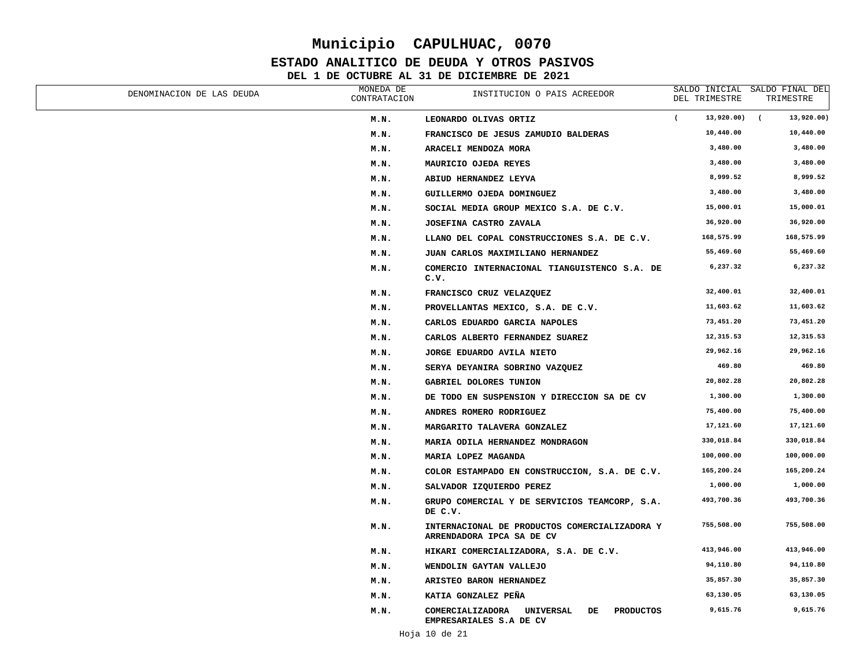### **ESTADO ANALITICO DE DEUDA Y OTROS PASIVOS**

| DENOMINACION DE LAS DEUDA | MONEDA DE<br>CONTRATACION | INSTITUCION O PAIS ACREEDOR                                                               | DEL TRIMESTRE                | SALDO INICIAL SALDO FINAL DEL<br>TRIMESTRE |
|---------------------------|---------------------------|-------------------------------------------------------------------------------------------|------------------------------|--------------------------------------------|
|                           | M.N.                      | LEONARDO OLIVAS ORTIZ                                                                     | $\overline{ }$<br>13,920.00) | $\sqrt{ }$<br>13,920.00)                   |
|                           | M.N.                      | FRANCISCO DE JESUS ZAMUDIO BALDERAS                                                       | 10,440.00                    | 10,440.00                                  |
|                           | M.N.                      | ARACELI MENDOZA MORA                                                                      | 3,480.00                     | 3,480.00                                   |
|                           | M.N.                      | MAURICIO OJEDA REYES                                                                      | 3,480.00                     | 3,480.00                                   |
|                           | M.N.                      | ABIUD HERNANDEZ LEYVA                                                                     | 8,999.52                     | 8,999.52                                   |
|                           | M.N.                      | GUILLERMO OJEDA DOMINGUEZ                                                                 | 3,480.00                     | 3,480.00                                   |
|                           | M.N.                      | SOCIAL MEDIA GROUP MEXICO S.A. DE C.V.                                                    | 15,000.01                    | 15,000.01                                  |
|                           | M.N.                      | JOSEFINA CASTRO ZAVALA                                                                    | 36,920.00                    | 36,920.00                                  |
|                           | M.N.                      | LLANO DEL COPAL CONSTRUCCIONES S.A. DE C.V.                                               | 168,575.99                   | 168,575.99                                 |
|                           | M.N.                      | JUAN CARLOS MAXIMILIANO HERNANDEZ                                                         | 55,469.60                    | 55,469.60                                  |
|                           | M.N.                      | COMERCIO INTERNACIONAL TIANGUISTENCO S.A. DE<br>c.v.                                      | 6,237.32                     | 6,237.32                                   |
|                           | M.N.                      | FRANCISCO CRUZ VELAZQUEZ                                                                  | 32,400.01                    | 32,400.01                                  |
|                           | M.N.                      | PROVELLANTAS MEXICO, S.A. DE C.V.                                                         | 11,603.62                    | 11,603.62                                  |
|                           | M.N.                      | CARLOS EDUARDO GARCIA NAPOLES                                                             | 73,451.20                    | 73,451.20                                  |
|                           | M.N.                      | CARLOS ALBERTO FERNANDEZ SUAREZ                                                           | 12,315.53                    | 12,315.53                                  |
|                           | M.N.                      | <b>JORGE EDUARDO AVILA NIETO</b>                                                          | 29,962.16                    | 29,962.16                                  |
|                           | M.N.                      | SERYA DEYANIRA SOBRINO VAZQUEZ                                                            | 469.80                       | 469.80                                     |
|                           | M.N.                      | <b>GABRIEL DOLORES TUNION</b>                                                             | 20,802.28                    | 20,802.28                                  |
|                           | M.N.                      | DE TODO EN SUSPENSION Y DIRECCION SA DE CV                                                | 1,300.00                     | 1,300.00                                   |
|                           | M.N.                      | ANDRES ROMERO RODRIGUEZ                                                                   | 75,400.00                    | 75,400.00                                  |
|                           | M.N.                      | MARGARITO TALAVERA GONZALEZ                                                               | 17,121.60                    | 17,121.60                                  |
|                           | M.N.                      | MARIA ODILA HERNANDEZ MONDRAGON                                                           | 330,018.84                   | 330,018.84                                 |
|                           | M.N.                      | MARIA LOPEZ MAGANDA                                                                       | 100,000.00                   | 100,000.00                                 |
|                           | M.N.                      | COLOR ESTAMPADO EN CONSTRUCCION, S.A. DE C.V.                                             | 165,200.24                   | 165,200.24                                 |
|                           | M.N.                      | SALVADOR IZQUIERDO PEREZ                                                                  | 1,000.00                     | 1,000.00                                   |
|                           | M.N.                      | GRUPO COMERCIAL Y DE SERVICIOS TEAMCORP, S.A.<br>DE C.V.                                  | 493,700.36                   | 493,700.36                                 |
|                           | M.N.                      | INTERNACIONAL DE PRODUCTOS COMERCIALIZADORA Y<br>ARRENDADORA IPCA SA DE CV                | 755,508.00                   | 755,508.00                                 |
|                           | M.N.                      | HIKARI COMERCIALIZADORA, S.A. DE C.V.                                                     | 413,946.00                   | 413,946.00                                 |
|                           | M.N.                      | WENDOLIN GAYTAN VALLEJO                                                                   | 94,110.80                    | 94,110.80                                  |
|                           | M.N.                      | ARISTEO BARON HERNANDEZ                                                                   | 35,857.30                    | 35,857.30                                  |
|                           | M.N.                      | KATIA GONZALEZ PEÑA                                                                       | 63,130.05                    | 63,130.05                                  |
|                           | M.N.                      | COMERCIALIZADORA<br><b>UNIVERSAL</b><br><b>PRODUCTOS</b><br>DE<br>EMPRESARIALES S.A DE CV | 9,615.76                     | 9,615.76                                   |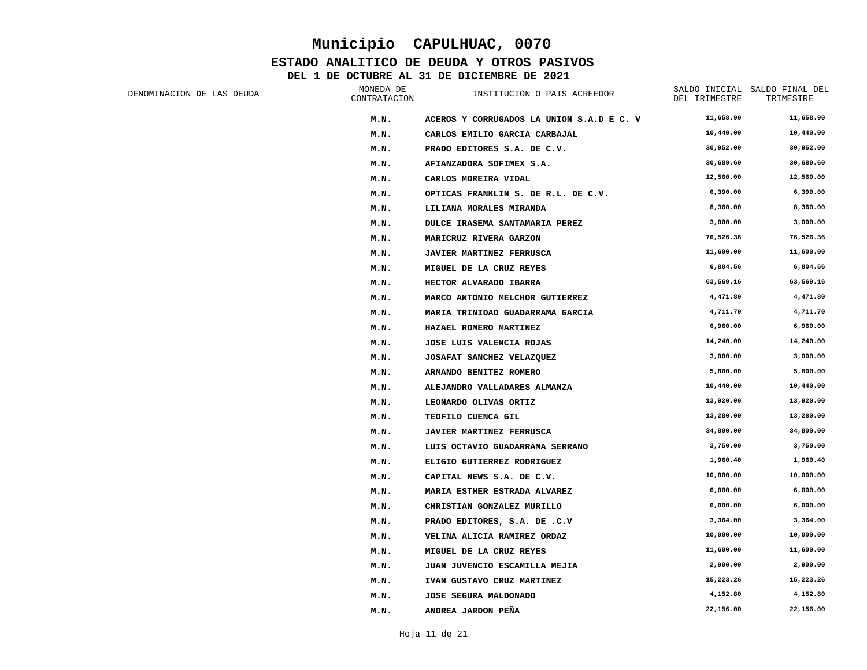### **ESTADO ANALITICO DE DEUDA Y OTROS PASIVOS**

| DENOMINACION DE LAS DEUDA | MONEDA DE<br>CONTRATACION | INSTITUCION O PAIS ACREEDOR               | DEL TRIMESTRE | SALDO INICIAL SALDO FINAL DEL<br>TRIMESTRE |
|---------------------------|---------------------------|-------------------------------------------|---------------|--------------------------------------------|
|                           | M.N.                      | ACEROS Y CORRUGADOS LA UNION S.A.D E C. V | 11,658.90     | 11,658.90                                  |
|                           | M.N.                      | CARLOS EMILIO GARCIA CARBAJAL             | 10,440.00     | 10,440.00                                  |
|                           | M.N.                      | PRADO EDITORES S.A. DE C.V.               | 30,952.00     | 30,952.00                                  |
|                           | M.N.                      | AFIANZADORA SOFIMEX S.A.                  | 30,689.60     | 30,689.60                                  |
|                           | M.N.                      | CARLOS MOREIRA VIDAL                      | 12,560.00     | 12,560.00                                  |
|                           | M.N.                      | OPTICAS FRANKLIN S. DE R.L. DE C.V.       | 6,390.00      | 6,390.00                                   |
|                           | M.N.                      | LILIANA MORALES MIRANDA                   | 8,360.00      | 8,360.00                                   |
|                           | M.N.                      | DULCE IRASEMA SANTAMARIA PEREZ            | 3,000.00      | 3,000.00                                   |
|                           | M.N.                      | MARICRUZ RIVERA GARZON                    | 76,526.36     | 76,526.36                                  |
|                           | M.N.                      | <b>JAVIER MARTINEZ FERRUSCA</b>           | 11,600.00     | 11,600.00                                  |
|                           | M.N.                      | MIGUEL DE LA CRUZ REYES                   | 6,804.56      | 6,804.56                                   |
|                           | M.N.                      | HECTOR ALVARADO IBARRA                    | 63,569.16     | 63,569.16                                  |
|                           | M.N.                      | MARCO ANTONIO MELCHOR GUTIERREZ           | 4,471.80      | 4,471.80                                   |
|                           | M.N.                      | MARIA TRINIDAD GUADARRAMA GARCIA          | 4,711.70      | 4,711.70                                   |
|                           | M.N.                      | HAZAEL ROMERO MARTINEZ                    | 6,960.00      | 6,960.00                                   |
|                           | M.N.                      | JOSE LUIS VALENCIA ROJAS                  | 14,240.00     | 14,240.00                                  |
|                           | M.N.                      | JOSAFAT SANCHEZ VELAZQUEZ                 | 3,000.00      | 3,000.00                                   |
|                           | M.N.                      | ARMANDO BENITEZ ROMERO                    | 5,800.00      | 5,800.00                                   |
|                           | M.N.                      | ALEJANDRO VALLADARES ALMANZA              | 10,440.00     | 10,440.00                                  |
|                           | M.N.                      | LEONARDO OLIVAS ORTIZ                     | 13,920.00     | 13,920.00                                  |
|                           | M.N.                      | TEOFILO CUENCA GIL                        | 13,280.00     | 13,280.00                                  |
|                           | M.N.                      | JAVIER MARTINEZ FERRUSCA                  | 34,800.00     | 34,800.00                                  |
|                           | M.N.                      | LUIS OCTAVIO GUADARRAMA SERRANO           | 3,750.00      | 3,750.00                                   |
|                           | M.N.                      | ELIGIO GUTIERREZ RODRIGUEZ                | 1,960.40      | 1,960.40                                   |
|                           | M.N.                      | CAPITAL NEWS S.A. DE C.V.                 | 10,000.00     | 10,000.00                                  |
|                           | M.N.                      | MARIA ESTHER ESTRADA ALVAREZ              | 6,000.00      | 6,000.00                                   |
|                           | M.N.                      | CHRISTIAN GONZALEZ MURILLO                | 6,000.00      | 6,000.00                                   |
|                           | M.N.                      | PRADO EDITORES, S.A. DE .C.V              | 3,364.00      | 3,364.00                                   |
|                           | M.N.                      | VELINA ALICIA RAMIREZ ORDAZ               | 10,000.00     | 10,000.00                                  |
|                           | M.N.                      | MIGUEL DE LA CRUZ REYES                   | 11,600.00     | 11,600.00                                  |
|                           | M.N.                      | JUAN JUVENCIO ESCAMILLA MEJIA             | 2,900.00      | 2,900.00                                   |
|                           | M.N.                      | IVAN GUSTAVO CRUZ MARTINEZ                | 15,223.26     | 15,223.26                                  |
|                           | M.N.                      | JOSE SEGURA MALDONADO                     | 4,152.80      | 4,152.80                                   |
|                           | M.N.                      | ANDREA JARDON PEÑA                        | 22,156.00     | 22,156.00                                  |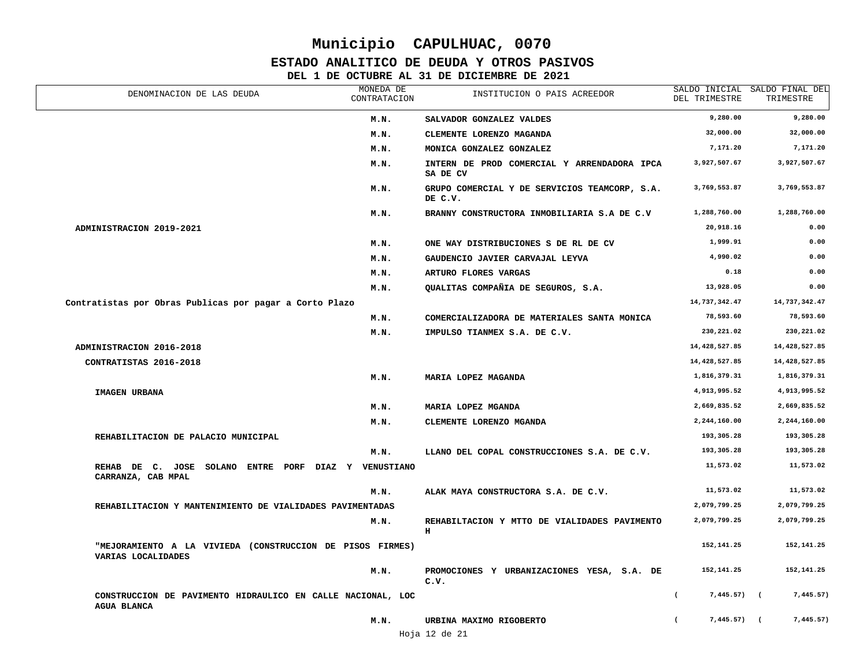### **ESTADO ANALITICO DE DEUDA Y OTROS PASIVOS**

| DENOMINACION DE LAS DEUDA                                                         | MONEDA DE<br>CONTRATACION | INSTITUCION O PAIS ACREEDOR                                 | DEL TRIMESTRE              | SALDO INICIAL SALDO FINAL DEL<br>TRIMESTRE |
|-----------------------------------------------------------------------------------|---------------------------|-------------------------------------------------------------|----------------------------|--------------------------------------------|
|                                                                                   | M.N.                      | SALVADOR GONZALEZ VALDES                                    | 9,280.00                   | 9,280.00                                   |
|                                                                                   | M.N.                      | CLEMENTE LORENZO MAGANDA                                    | 32,000.00                  | 32,000.00                                  |
|                                                                                   | M.N.                      | MONICA GONZALEZ GONZALEZ                                    | 7,171.20                   | 7,171.20                                   |
|                                                                                   | M.N.                      | INTERN DE PROD COMERCIAL Y ARRENDADORA IPCA<br>SA DE CV     | 3,927,507.67               | 3,927,507.67                               |
|                                                                                   | M.N.                      | GRUPO COMERCIAL Y DE SERVICIOS TEAMCORP, S.A.<br>DE C.V.    | 3,769,553.87               | 3,769,553.87                               |
|                                                                                   | M.N.                      | BRANNY CONSTRUCTORA INMOBILIARIA S.A DE C.V                 | 1,288,760.00               | 1,288,760.00                               |
| ADMINISTRACION 2019-2021                                                          |                           |                                                             | 20,918.16                  | 0.00                                       |
|                                                                                   | M.N.                      | ONE WAY DISTRIBUCIONES S DE RL DE CV                        | 1,999.91                   | 0.00                                       |
|                                                                                   | M.N.                      | GAUDENCIO JAVIER CARVAJAL LEYVA                             | 4,990.02                   | 0.00                                       |
|                                                                                   | M.N.                      | ARTURO FLORES VARGAS                                        | 0.18                       | 0.00                                       |
|                                                                                   | M.N.                      | QUALITAS COMPAÑIA DE SEGUROS, S.A.                          | 13,928.05                  | 0.00                                       |
| Contratistas por Obras Publicas por pagar a Corto Plazo                           |                           |                                                             | 14,737,342.47              | 14,737,342.47                              |
|                                                                                   | M.N.                      | COMERCIALIZADORA DE MATERIALES SANTA MONICA                 | 78,593.60                  | 78,593.60                                  |
|                                                                                   | M.N.                      | IMPULSO TIANMEX S.A. DE C.V.                                | 230,221.02                 | 230,221.02                                 |
| ADMINISTRACION 2016-2018                                                          |                           |                                                             | 14,428,527.85              | 14, 428, 527.85                            |
| CONTRATISTAS 2016-2018                                                            |                           |                                                             | 14,428,527.85              | 14, 428, 527.85                            |
|                                                                                   | M.N.                      | MARIA LOPEZ MAGANDA                                         | 1,816,379.31               | 1,816,379.31                               |
| IMAGEN URBANA                                                                     |                           |                                                             | 4,913,995.52               | 4,913,995.52                               |
|                                                                                   | M.N.                      | MARIA LOPEZ MGANDA                                          | 2,669,835.52               | 2,669,835.52                               |
|                                                                                   | M.N.                      | CLEMENTE LORENZO MGANDA                                     | 2,244,160.00               | 2,244,160.00                               |
| REHABILITACION DE PALACIO MUNICIPAL                                               |                           |                                                             | 193,305.28                 | 193,305.28                                 |
|                                                                                   | M.N.                      | LLANO DEL COPAL CONSTRUCCIONES S.A. DE C.V.                 | 193,305.28                 | 193,305.28                                 |
| REHAB DE C. JOSE SOLANO ENTRE PORF DIAZ Y VENUSTIANO<br>CARRANZA, CAB MPAL        |                           |                                                             | 11,573.02                  | 11,573.02                                  |
|                                                                                   | M.N.                      | ALAK MAYA CONSTRUCTORA S.A. DE C.V.                         | 11,573.02                  | 11,573.02                                  |
| REHABILITACION Y MANTENIMIENTO DE VIALIDADES PAVIMENTADAS                         |                           |                                                             | 2,079,799.25               | 2,079,799.25                               |
|                                                                                   | M.N.                      | REHABILTACION Y MTTO DE VIALIDADES PAVIMENTO<br>$\mathbf H$ | 2,079,799.25               | 2,079,799.25                               |
| "MEJORAMIENTO A LA VIVIEDA (CONSTRUCCION DE PISOS FIRMES)<br>VARIAS LOCALIDADES   |                           |                                                             | 152,141.25                 | 152, 141.25                                |
|                                                                                   | M.N.                      | PROMOCIONES Y URBANIZACIONES YESA, S.A. DE<br>C.V.          | 152,141.25                 | 152, 141.25                                |
| CONSTRUCCION DE PAVIMENTO HIDRAULICO EN CALLE NACIONAL, LOC<br><b>AGUA BLANCA</b> |                           |                                                             | $\left($<br>$7,445.57$ ) ( | 7,445.57)                                  |
|                                                                                   | M.N.                      | URBINA MAXIMO RIGOBERTO                                     | $7,445.57$ ) (             | 7,445.57)                                  |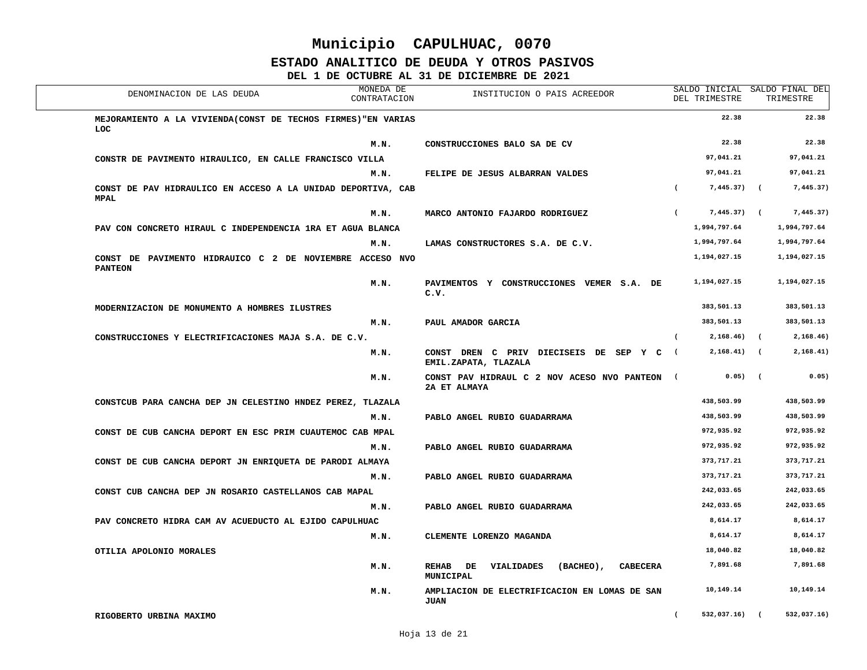#### **ESTADO ANALITICO DE DEUDA Y OTROS PASIVOS**

| DENOMINACION DE LAS DEUDA                                                    | MONEDA DE<br>CONTRATACION | INSTITUCION O PAIS ACREEDOR                                                | SALDO INICIAL SALDO FINAL DEL<br>DEL TRIMESTRE |           | TRIMESTRE    |
|------------------------------------------------------------------------------|---------------------------|----------------------------------------------------------------------------|------------------------------------------------|-----------|--------------|
| MEJORAMIENTO A LA VIVIENDA (CONST DE TECHOS FIRMES) "EN VARIAS<br><b>LOC</b> |                           |                                                                            | 22.38                                          |           | 22.38        |
|                                                                              | M.N.                      | CONSTRUCCIONES BALO SA DE CV                                               | 22.38                                          |           | 22.38        |
| CONSTR DE PAVIMENTO HIRAULICO, EN CALLE FRANCISCO VILLA                      |                           |                                                                            | 97,041.21                                      |           | 97,041.21    |
|                                                                              | M.N.                      | FELIPE DE JESUS ALBARRAN VALDES                                            | 97,041.21                                      |           | 97,041.21    |
| CONST DE PAV HIDRAULICO EN ACCESO A LA UNIDAD DEPORTIVA, CAB<br><b>MPAL</b>  |                           |                                                                            | $7,445.37$ (<br>$\left($                       |           | 7,445.37)    |
|                                                                              | M.N.                      | MARCO ANTONIO FAJARDO RODRIGUEZ                                            | 7,445.37) (<br>$\epsilon$                      |           | 7,445.37)    |
| PAV CON CONCRETO HIRAUL C INDEPENDENCIA 1RA ET AGUA BLANCA                   |                           |                                                                            | 1,994,797.64                                   |           | 1,994,797.64 |
|                                                                              | M.N.                      | LAMAS CONSTRUCTORES S.A. DE C.V.                                           | 1,994,797.64                                   |           | 1,994,797.64 |
| CONST DE PAVIMENTO HIDRAUICO C 2 DE NOVIEMBRE ACCESO NVO<br><b>PANTEON</b>   |                           |                                                                            | 1,194,027.15                                   |           | 1,194,027.15 |
|                                                                              | M.N.                      | PAVIMENTOS Y CONSTRUCCIONES VEMER S.A. DE<br>c.v.                          | 1,194,027.15                                   |           | 1,194,027.15 |
| MODERNIZACION DE MONUMENTO A HOMBRES ILUSTRES                                |                           |                                                                            | 383,501.13                                     |           | 383,501.13   |
|                                                                              | M.N.                      | PAUL AMADOR GARCIA                                                         | 383,501.13                                     |           | 383,501.13   |
| CONSTRUCCIONES Y ELECTRIFICACIONES MAJA S.A. DE C.V.                         |                           |                                                                            | $2,168.46$ (                                   |           | 2,168.46)    |
|                                                                              | M.N.                      | CONST DREN C PRIV DIECISEIS DE SEP Y C (<br>EMIL.ZAPATA, TLAZALA           | $2,168.41$ (                                   |           | 2,168.41)    |
|                                                                              | M.N.                      | CONST PAV HIDRAUL C 2 NOV ACESO NVO PANTEON (<br>2A ET ALMAYA              |                                                | $0.05)$ ( | 0.05)        |
| CONSTCUB PARA CANCHA DEP JN CELESTINO HNDEZ PEREZ, TLAZALA                   |                           |                                                                            | 438,503.99                                     |           | 438,503.99   |
|                                                                              | M.N.                      | PABLO ANGEL RUBIO GUADARRAMA                                               | 438,503.99                                     |           | 438,503.99   |
| CONST DE CUB CANCHA DEPORT EN ESC PRIM CUAUTEMOC CAB MPAL                    |                           |                                                                            | 972,935.92                                     |           | 972,935.92   |
|                                                                              | M.N.                      | PABLO ANGEL RUBIO GUADARRAMA                                               | 972,935.92                                     |           | 972,935.92   |
| CONST DE CUB CANCHA DEPORT JN ENRIQUETA DE PARODI ALMAYA                     |                           |                                                                            | 373,717.21                                     |           | 373,717.21   |
|                                                                              | M.N.                      | PABLO ANGEL RUBIO GUADARRAMA                                               | 373,717.21                                     |           | 373,717.21   |
| CONST CUB CANCHA DEP JN ROSARIO CASTELLANOS CAB MAPAL                        |                           |                                                                            | 242,033.65                                     |           | 242,033.65   |
|                                                                              | M.N.                      | PABLO ANGEL RUBIO GUADARRAMA                                               | 242,033.65                                     |           | 242,033.65   |
| PAV CONCRETO HIDRA CAM AV ACUEDUCTO AL EJIDO CAPULHUAC                       |                           |                                                                            | 8,614.17                                       |           | 8,614.17     |
|                                                                              | M.N.                      | CLEMENTE LORENZO MAGANDA                                                   | 8,614.17                                       |           | 8,614.17     |
| OTILIA APOLONIO MORALES                                                      |                           |                                                                            | 18,040.82                                      |           | 18,040.82    |
|                                                                              | M.N.                      | REHAB DE<br>(BACHEO),<br><b>CABECERA</b><br><b>VIALIDADES</b><br>MUNICIPAL | 7,891.68                                       |           | 7,891.68     |
|                                                                              | M.N.                      | AMPLIACION DE ELECTRIFICACION EN LOMAS DE SAN<br><b>JUAN</b>               | 10,149.14                                      |           | 10,149.14    |
| RIGOBERTO URBINA MAXIMO                                                      |                           |                                                                            | $532,037.16$ (<br>$\left($                     |           | 532,037.16)  |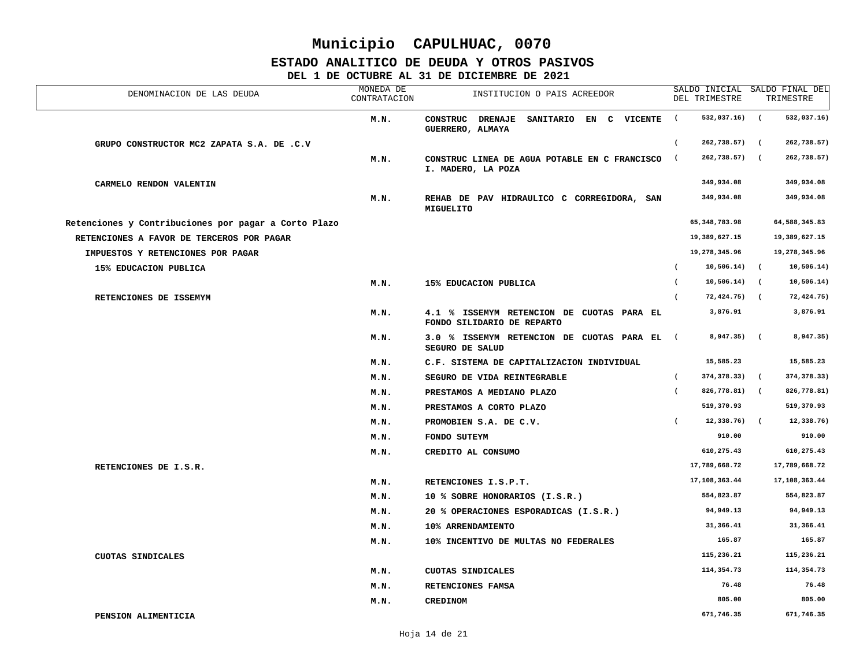### **ESTADO ANALITICO DE DEUDA Y OTROS PASIVOS**

| DENOMINACION DE LAS DEUDA                            | MONEDA DE<br>CONTRATACION | INSTITUCION O PAIS ACREEDOR                                             | DEL TRIMESTRE                | SALDO INICIAL SALDO FINAL DEL<br>TRIMESTRE |
|------------------------------------------------------|---------------------------|-------------------------------------------------------------------------|------------------------------|--------------------------------------------|
|                                                      | M.N.                      | CONSTRUC DRENAJE<br>SANITARIO EN C VICENTE<br>GUERRERO, ALMAYA          | 532,037.16) (<br>$\sqrt{2}$  | 532,037.16)                                |
| GRUPO CONSTRUCTOR MC2 ZAPATA S.A. DE .C.V            |                           |                                                                         | $\sqrt{2}$<br>262,738.57) (  | 262,738.57)                                |
|                                                      | M.N.                      | CONSTRUC LINEA DE AGUA POTABLE EN C FRANCISCO (<br>I. MADERO, LA POZA   | 262,738.57) (                | 262,738.57)                                |
| CARMELO RENDON VALENTIN                              |                           |                                                                         | 349,934.08                   | 349,934.08                                 |
|                                                      | M.N.                      | REHAB DE PAV HIDRAULICO C CORREGIDORA, SAN<br>MIGUELITO                 | 349,934.08                   | 349,934.08                                 |
| Retenciones y Contribuciones por pagar a Corto Plazo |                           |                                                                         | 65, 348, 783.98              | 64, 588, 345.83                            |
| RETENCIONES A FAVOR DE TERCEROS POR PAGAR            |                           |                                                                         | 19,389,627.15                | 19,389,627.15                              |
| IMPUESTOS Y RETENCIONES POR PAGAR                    |                           |                                                                         | 19,278,345.96                | 19,278,345.96                              |
| 15% EDUCACION PUBLICA                                |                           |                                                                         | $10,506.14)$ (<br>$\epsilon$ | 10,506.14)                                 |
|                                                      | M.N.                      | 15% EDUCACION PUBLICA                                                   | $10,506.14)$ (<br>$\left($   | 10, 506.14)                                |
| RETENCIONES DE ISSEMYM                               |                           |                                                                         | $\left($<br>72,424.75) (     | 72,424.75)                                 |
|                                                      | M.N.                      | 4.1 % ISSEMYM RETENCION DE CUOTAS PARA EL<br>FONDO SILIDARIO DE REPARTO | 3,876.91                     | 3,876.91                                   |
|                                                      | M.N.                      | 3.0 % ISSEMYM RETENCION DE CUOTAS PARA EL (<br>SEGURO DE SALUD          | 8,947.35) (                  | 8,947.35)                                  |
|                                                      | M.N.                      | C.F. SISTEMA DE CAPITALIZACION INDIVIDUAL                               | 15,585.23                    | 15,585.23                                  |
|                                                      | M.N.                      | SEGURO DE VIDA REINTEGRABLE                                             | $\sqrt{2}$<br>374,378.33) (  | 374,378.33)                                |
|                                                      | M.N.                      | PRESTAMOS A MEDIANO PLAZO                                               | 826,778.81) (<br>$\left($    | 826,778.81)                                |
|                                                      | M.N.                      | PRESTAMOS A CORTO PLAZO                                                 | 519,370.93                   | 519,370.93                                 |
|                                                      | M.N.                      | PROMOBIEN S.A. DE C.V.                                                  | $\sqrt{2}$<br>$12,338.76$ (  | 12,338.76)                                 |
|                                                      | M.N.                      | FONDO SUTEYM                                                            | 910.00                       | 910.00                                     |
|                                                      | M.N.                      | CREDITO AL CONSUMO                                                      | 610,275.43                   | 610,275.43                                 |
| RETENCIONES DE I.S.R.                                |                           |                                                                         | 17,789,668.72                | 17,789,668.72                              |
|                                                      | M.N.                      | RETENCIONES I.S.P.T.                                                    | 17,108,363.44                | 17,108,363.44                              |
|                                                      | M.N.                      | 10 % SOBRE HONORARIOS (I.S.R.)                                          | 554,823.87                   | 554,823.87                                 |
|                                                      | M.N.                      | 20 % OPERACIONES ESPORADICAS (I.S.R.)                                   | 94,949.13                    | 94,949.13                                  |
|                                                      | M.N.                      | 10% ARRENDAMIENTO                                                       | 31,366.41                    | 31,366.41                                  |
|                                                      | M.N.                      | 10% INCENTIVO DE MULTAS NO FEDERALES                                    | 165.87                       | 165.87                                     |
| CUOTAS SINDICALES                                    |                           |                                                                         | 115,236.21                   | 115,236.21                                 |
|                                                      | M.N.                      | CUOTAS SINDICALES                                                       | 114,354.73                   | 114,354.73                                 |
|                                                      | M.N.                      | RETENCIONES FAMSA                                                       | 76.48                        | 76.48                                      |
|                                                      | M.N.                      | <b>CREDINOM</b>                                                         | 805.00                       | 805.00                                     |
| PENSION ALIMENTICIA                                  |                           |                                                                         | 671,746.35                   | 671,746.35                                 |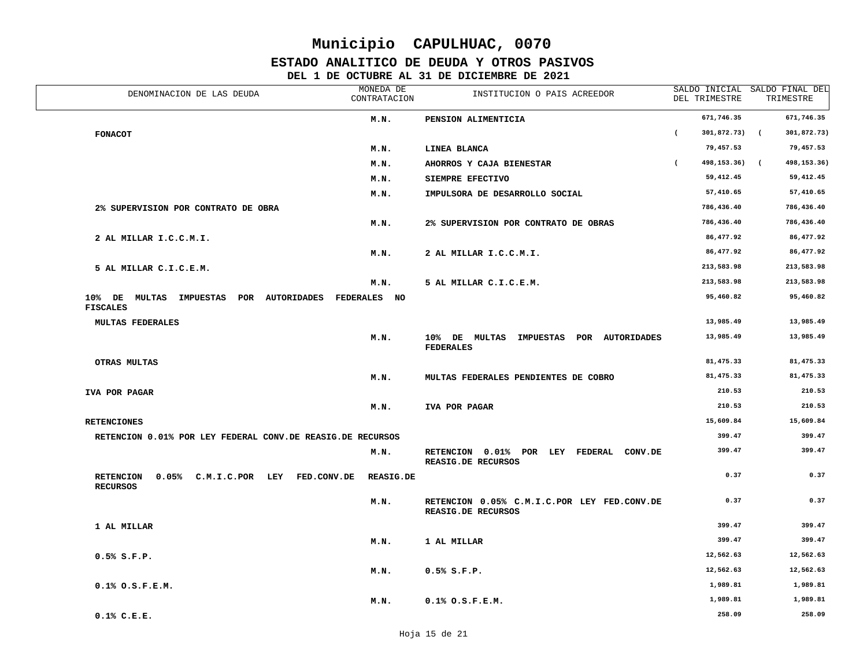### **ESTADO ANALITICO DE DEUDA Y OTROS PASIVOS**

| DENOMINACION DE LAS DEUDA                                                | MONEDA DE<br>CONTRATACION | INSTITUCION O PAIS ACREEDOR                                       | DEL TRIMESTRE                    | SALDO INICIAL SALDO FINAL DEL<br>TRIMESTRE |
|--------------------------------------------------------------------------|---------------------------|-------------------------------------------------------------------|----------------------------------|--------------------------------------------|
|                                                                          | M.N.                      | PENSION ALIMENTICIA                                               | 671,746.35                       | 671,746.35                                 |
| <b>FONACOT</b>                                                           |                           |                                                                   | $301,872.73$ (<br>$\overline{ }$ | 301,872.73)                                |
|                                                                          | M.N.                      | LINEA BLANCA                                                      | 79,457.53                        | 79,457.53                                  |
|                                                                          | M.N.                      | AHORROS Y CAJA BIENESTAR                                          | 498,153.36)                      | 498, 153. 36)<br>$\sqrt{2}$                |
|                                                                          | M.N.                      | SIEMPRE EFECTIVO                                                  | 59,412.45                        | 59,412.45                                  |
|                                                                          | M.N.                      | IMPULSORA DE DESARROLLO SOCIAL                                    | 57,410.65                        | 57,410.65                                  |
| 2% SUPERVISION POR CONTRATO DE OBRA                                      |                           |                                                                   | 786,436.40                       | 786,436.40                                 |
|                                                                          | M.N.                      | 2% SUPERVISION POR CONTRATO DE OBRAS                              | 786,436.40                       | 786,436.40                                 |
| 2 AL MILLAR I.C.C.M.I.                                                   |                           |                                                                   | 86,477.92                        | 86,477.92                                  |
|                                                                          | M.N.                      | 2 AL MILLAR I.C.C.M.I.                                            | 86,477.92                        | 86,477.92                                  |
| 5 AL MILLAR C.I.C.E.M.                                                   |                           |                                                                   | 213,583.98                       | 213,583.98                                 |
|                                                                          | M.N.                      | 5 AL MILLAR C.I.C.E.M.                                            | 213,583.98                       | 213,583.98                                 |
| 10% DE MULTAS IMPUESTAS POR AUTORIDADES<br><b>FISCALES</b>               | FEDERALES NO              |                                                                   | 95,460.82                        | 95,460.82                                  |
| MULTAS FEDERALES                                                         |                           |                                                                   | 13,985.49                        | 13,985.49                                  |
|                                                                          | M.N.                      | 10% DE MULTAS IMPUESTAS POR AUTORIDADES<br><b>FEDERALES</b>       | 13,985.49                        | 13,985.49                                  |
| OTRAS MULTAS                                                             |                           |                                                                   | 81, 475.33                       | 81,475.33                                  |
|                                                                          | M.N.                      | MULTAS FEDERALES PENDIENTES DE COBRO                              | 81,475.33                        | 81,475.33                                  |
| IVA POR PAGAR                                                            |                           |                                                                   | 210.53                           | 210.53                                     |
|                                                                          | M.N.                      | IVA POR PAGAR                                                     | 210.53                           | 210.53                                     |
| <b>RETENCIONES</b>                                                       |                           |                                                                   | 15,609.84                        | 15,609.84                                  |
| RETENCION 0.01% POR LEY FEDERAL CONV.DE REASIG.DE RECURSOS               |                           |                                                                   | 399.47                           | 399.47                                     |
|                                                                          | M.N.                      | RETENCION 0.01% POR LEY FEDERAL<br>CONV.DE<br>REASIG.DE RECURSOS  | 399.47                           | 399.47                                     |
| <b>RETENCION</b><br>0.05% C.M.I.C.POR LEY FED.CONV.DE<br><b>RECURSOS</b> | <b>REASIG.DE</b>          |                                                                   | 0.37                             | 0.37                                       |
|                                                                          | M.N.                      | RETENCION 0.05% C.M.I.C.POR LEY FED.CONV.DE<br>REASIG.DE RECURSOS | 0.37                             | 0.37                                       |
| 1 AL MILLAR                                                              |                           |                                                                   | 399.47                           | 399.47                                     |
|                                                                          | M.N.                      | 1 AL MILLAR                                                       | 399.47                           | 399.47                                     |
| $0.5%$ S.F.P.                                                            |                           |                                                                   | 12,562.63                        | 12,562.63                                  |
|                                                                          | M.N.                      | 0.5% S.F.P.                                                       | 12,562.63                        | 12,562.63                                  |
| 0.1% O.S.F.E.M.                                                          |                           |                                                                   | 1,989.81                         | 1,989.81                                   |
|                                                                          | M.N.                      | $0.1%$ $0.5.F.E.M.$                                               | 1,989.81                         | 1,989.81                                   |
| $0.1%$ C.E.E.                                                            |                           |                                                                   | 258.09                           | 258.09                                     |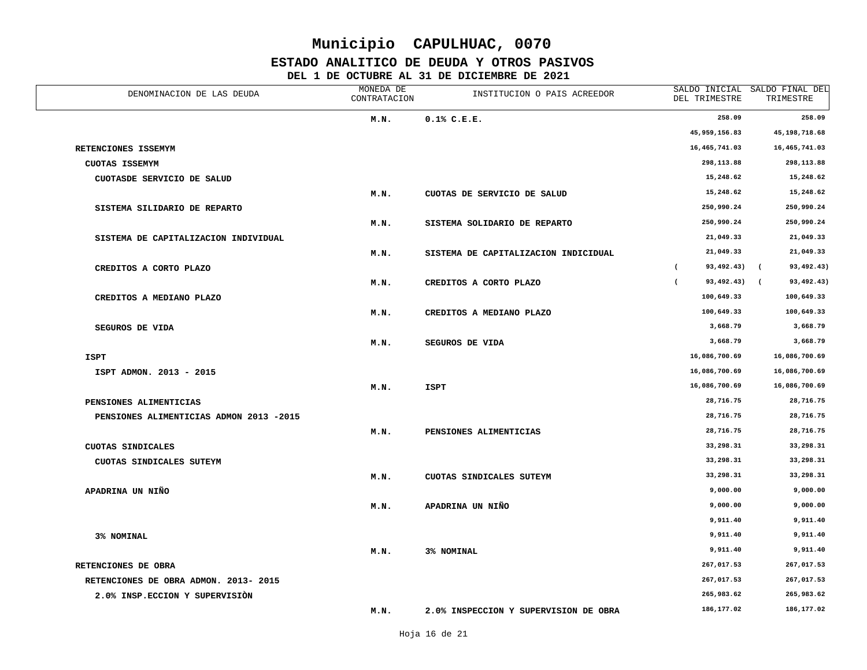### **ESTADO ANALITICO DE DEUDA Y OTROS PASIVOS**

| DENOMINACION DE LAS DEUDA               | MONEDA DE<br>CONTRATACION | INSTITUCION O PAIS ACREEDOR           | DEL TRIMESTRE                  | SALDO INICIAL SALDO FINAL DEL<br>TRIMESTRE |
|-----------------------------------------|---------------------------|---------------------------------------|--------------------------------|--------------------------------------------|
|                                         | M.N.                      | $0.1%$ C.E.E.                         | 258.09                         | 258.09                                     |
|                                         |                           |                                       | 45,959,156.83                  | 45,198,718.68                              |
| RETENCIONES ISSEMYM                     |                           |                                       | 16,465,741.03                  | 16,465,741.03                              |
| <b>CUOTAS ISSEMYM</b>                   |                           |                                       | 298,113.88                     | 298,113.88                                 |
| CUOTASDE SERVICIO DE SALUD              |                           |                                       | 15,248.62                      | 15,248.62                                  |
|                                         | M.N.                      | CUOTAS DE SERVICIO DE SALUD           | 15,248.62                      | 15,248.62                                  |
| SISTEMA SILIDARIO DE REPARTO            |                           |                                       | 250,990.24                     | 250,990.24                                 |
|                                         | M.N.                      | SISTEMA SOLIDARIO DE REPARTO          | 250,990.24                     | 250,990.24                                 |
| SISTEMA DE CAPITALIZACION INDIVIDUAL    |                           |                                       | 21,049.33                      | 21,049.33                                  |
|                                         | M.N.                      | SISTEMA DE CAPITALIZACION INDICIDUAL  | 21,049.33                      | 21,049.33                                  |
| CREDITOS A CORTO PLAZO                  |                           |                                       | $\overline{ }$<br>93,492.43)   | $\sqrt{2}$<br>93,492.43)                   |
|                                         | M.N.                      | CREDITOS A CORTO PLAZO                | 93,492.43) (<br>$\overline{ }$ | 93,492.43)                                 |
| CREDITOS A MEDIANO PLAZO                |                           |                                       | 100,649.33                     | 100,649.33                                 |
|                                         | M.N.                      | CREDITOS A MEDIANO PLAZO              | 100,649.33                     | 100,649.33                                 |
| <b>SEGUROS DE VIDA</b>                  |                           |                                       | 3,668.79                       | 3,668.79                                   |
|                                         | M.N.                      | SEGUROS DE VIDA                       | 3,668.79                       | 3,668.79                                   |
| <b>ISPT</b>                             |                           |                                       | 16,086,700.69                  | 16,086,700.69                              |
| ISPT ADMON. 2013 - 2015                 |                           |                                       | 16,086,700.69                  | 16,086,700.69                              |
|                                         | M.N.                      | <b>ISPT</b>                           | 16,086,700.69                  | 16,086,700.69                              |
| PENSIONES ALIMENTICIAS                  |                           |                                       | 28,716.75                      | 28,716.75                                  |
| PENSIONES ALIMENTICIAS ADMON 2013 -2015 |                           |                                       | 28,716.75                      | 28,716.75                                  |
|                                         | M.N.                      | PENSIONES ALIMENTICIAS                | 28,716.75                      | 28,716.75                                  |
| CUOTAS SINDICALES                       |                           |                                       | 33,298.31                      | 33,298.31                                  |
| CUOTAS SINDICALES SUTEYM                |                           |                                       | 33,298.31                      | 33,298.31                                  |
|                                         | M.N.                      | CUOTAS SINDICALES SUTEYM              | 33,298.31                      | 33,298.31                                  |
| APADRINA UN NIÑO                        |                           |                                       | 9,000.00                       | 9,000.00                                   |
|                                         | M.N.                      | APADRINA UN NIÑO                      | 9,000.00                       | 9,000.00                                   |
|                                         |                           |                                       | 9,911.40                       | 9,911.40                                   |
| 3% NOMINAL                              |                           |                                       | 9,911.40                       | 9,911.40                                   |
|                                         | M.N.                      | 3% NOMINAL                            | 9,911.40                       | 9,911.40                                   |
| RETENCIONES DE OBRA                     |                           |                                       | 267,017.53                     | 267,017.53                                 |
| RETENCIONES DE OBRA ADMON. 2013- 2015   |                           |                                       | 267,017.53                     | 267,017.53                                 |
| 2.0% INSP.ECCION Y SUPERVISION          |                           |                                       | 265,983.62                     | 265,983.62                                 |
|                                         | M.N.                      | 2.0% INSPECCION Y SUPERVISION DE OBRA | 186, 177.02                    | 186, 177.02                                |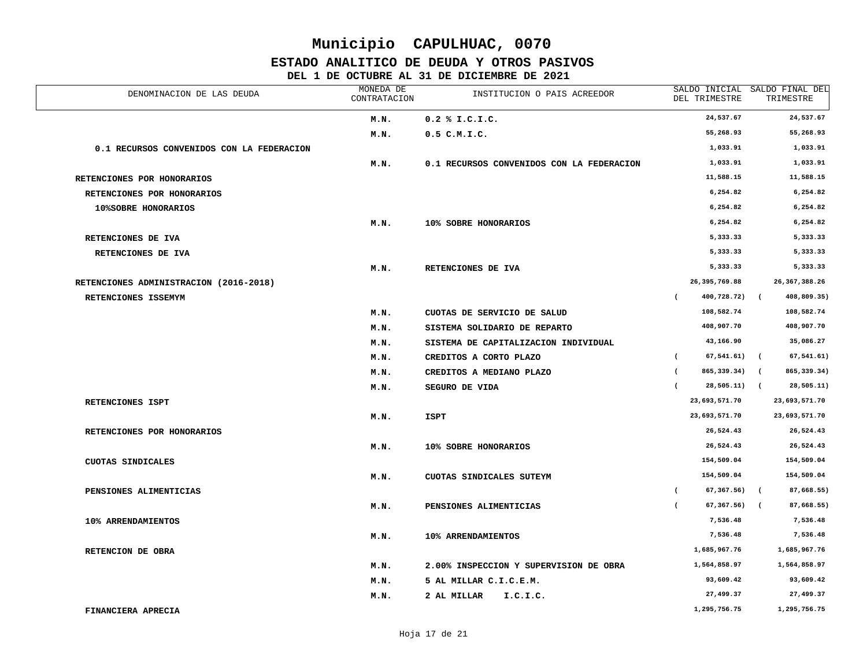### **ESTADO ANALITICO DE DEUDA Y OTROS PASIVOS**

| DENOMINACION DE LAS DEUDA                 | MONEDA DE<br>CONTRATACION | INSTITUCION O PAIS ACREEDOR               |            | DEL TRIMESTRE   |            | SALDO INICIAL SALDO FINAL DEL<br>TRIMESTRE |
|-------------------------------------------|---------------------------|-------------------------------------------|------------|-----------------|------------|--------------------------------------------|
|                                           | M.N.                      | $0.2$ % I.C.I.C.                          |            | 24,537.67       |            | 24,537.67                                  |
|                                           | M.N.                      | $0.5$ C.M.I.C.                            |            | 55,268.93       |            | 55,268.93                                  |
| 0.1 RECURSOS CONVENIDOS CON LA FEDERACION |                           |                                           |            | 1,033.91        |            | 1,033.91                                   |
|                                           | M.N.                      | 0.1 RECURSOS CONVENIDOS CON LA FEDERACION |            | 1,033.91        |            | 1,033.91                                   |
| RETENCIONES POR HONORARIOS                |                           |                                           |            | 11,588.15       |            | 11,588.15                                  |
| RETENCIONES POR HONORARIOS                |                           |                                           |            | 6,254.82        |            | 6,254.82                                   |
| 10%SOBRE HONORARIOS                       |                           |                                           |            | 6,254.82        |            | 6,254.82                                   |
|                                           | M.N.                      | 10% SOBRE HONORARIOS                      |            | 6,254.82        |            | 6,254.82                                   |
| RETENCIONES DE IVA                        |                           |                                           |            | 5,333.33        |            | 5,333.33                                   |
| RETENCIONES DE IVA                        |                           |                                           |            | 5,333.33        |            | 5,333.33                                   |
|                                           | M.N.                      | RETENCIONES DE IVA                        |            | 5,333.33        |            | 5,333.33                                   |
| RETENCIONES ADMINISTRACION (2016-2018)    |                           |                                           |            | 26, 395, 769.88 |            | 26, 367, 388.26                            |
| RETENCIONES ISSEMYM                       |                           |                                           | $\sqrt{2}$ | 400,728.72)     | $\sqrt{2}$ | 408,809.35)                                |
|                                           | M.N.                      | CUOTAS DE SERVICIO DE SALUD               |            | 108,582.74      |            | 108,582.74                                 |
|                                           | M.N.                      | SISTEMA SOLIDARIO DE REPARTO              |            | 408,907.70      |            | 408,907.70                                 |
|                                           | M.N.                      | SISTEMA DE CAPITALIZACION INDIVIDUAL      |            | 43,166.90       |            | 35,086.27                                  |
|                                           | M.N.                      | CREDITOS A CORTO PLAZO                    | $\sqrt{2}$ | $67,541.61$ (   |            | 67, 541.61)                                |
|                                           | M.N.                      | CREDITOS A MEDIANO PLAZO                  | $\left($   | 865,339.34) (   |            | 865, 339.34)                               |
|                                           | M.N.                      | SEGURO DE VIDA                            | $\sqrt{2}$ | 28,505.11) (    |            | 28,505.11)                                 |
| RETENCIONES ISPT                          |                           |                                           |            | 23,693,571.70   |            | 23,693,571.70                              |
|                                           | M.N.                      | ISPT                                      |            | 23,693,571.70   |            | 23,693,571.70                              |
| RETENCIONES POR HONORARIOS                |                           |                                           |            | 26,524.43       |            | 26,524.43                                  |
|                                           | M.N.                      | 10% SOBRE HONORARIOS                      |            | 26,524.43       |            | 26,524.43                                  |
| CUOTAS SINDICALES                         |                           |                                           |            | 154,509.04      |            | 154,509.04                                 |
|                                           | M.N.                      | CUOTAS SINDICALES SUTEYM                  |            | 154,509.04      |            | 154,509.04                                 |
| PENSIONES ALIMENTICIAS                    |                           |                                           | $\sqrt{2}$ | 67,367.56)      | $\sqrt{ }$ | 87,668.55)                                 |
|                                           | M.N.                      | PENSIONES ALIMENTICIAS                    | $\left($   | 67,367.56)      | $\sqrt{2}$ | 87,668.55)                                 |
| 10% ARRENDAMIENTOS                        |                           |                                           |            | 7,536.48        |            | 7,536.48                                   |
|                                           | M.N.                      | 10% ARRENDAMIENTOS                        |            | 7,536.48        |            | 7,536.48                                   |
| RETENCION DE OBRA                         |                           |                                           |            | 1,685,967.76    |            | 1,685,967.76                               |
|                                           | M.N.                      | 2.00% INSPECCION Y SUPERVISION DE OBRA    |            | 1,564,858.97    |            | 1,564,858.97                               |
|                                           | M.N.                      | 5 AL MILLAR C.I.C.E.M.                    |            | 93,609.42       |            | 93,609.42                                  |
|                                           | M.N.                      | 2 AL MILLAR<br>I.C.I.C.                   |            | 27,499.37       |            | 27,499.37                                  |
| FINANCIERA APRECIA                        |                           |                                           |            | 1,295,756.75    |            | 1,295,756.75                               |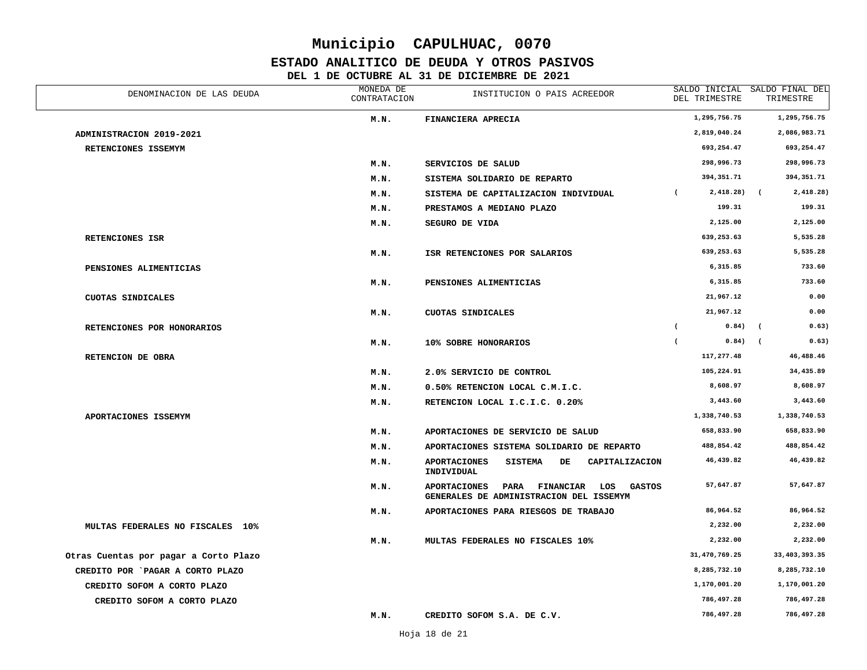### **ESTADO ANALITICO DE DEUDA Y OTROS PASIVOS**

| DENOMINACION DE LAS DEUDA             | MONEDA DE<br>CONTRATACION | INSTITUCION O PAIS ACREEDOR                                                                                 | DEL TRIMESTRE               | SALDO INICIAL SALDO FINAL DEL<br>TRIMESTRE |
|---------------------------------------|---------------------------|-------------------------------------------------------------------------------------------------------------|-----------------------------|--------------------------------------------|
|                                       | M.N.                      | FINANCIERA APRECIA                                                                                          | 1,295,756.75                | 1,295,756.75                               |
| ADMINISTRACION 2019-2021              |                           |                                                                                                             | 2,819,040.24                | 2,086,983.71                               |
| RETENCIONES ISSEMYM                   |                           |                                                                                                             | 693,254.47                  | 693,254.47                                 |
|                                       | M.N.                      | SERVICIOS DE SALUD                                                                                          | 298,996.73                  | 298,996.73                                 |
|                                       | M.N.                      | SISTEMA SOLIDARIO DE REPARTO                                                                                | 394,351.71                  | 394, 351.71                                |
|                                       | M.N.                      | SISTEMA DE CAPITALIZACION INDIVIDUAL                                                                        | $\sqrt{2}$<br>$2,418.28$ (  | 2,418.28)                                  |
|                                       | M.N.                      | PRESTAMOS A MEDIANO PLAZO                                                                                   | 199.31                      | 199.31                                     |
|                                       | M.N.                      | SEGURO DE VIDA                                                                                              | 2,125.00                    | 2,125.00                                   |
| RETENCIONES ISR                       |                           |                                                                                                             | 639,253.63                  | 5,535.28                                   |
|                                       | M.N.                      | ISR RETENCIONES POR SALARIOS                                                                                | 639,253.63                  | 5,535.28                                   |
| PENSIONES ALIMENTICIAS                |                           |                                                                                                             | 6,315.85                    | 733.60                                     |
|                                       | M.N.                      | PENSIONES ALIMENTICIAS                                                                                      | 6,315.85                    | 733.60                                     |
| CUOTAS SINDICALES                     |                           |                                                                                                             | 21,967.12                   | 0.00                                       |
|                                       | M.N.                      | CUOTAS SINDICALES                                                                                           | 21,967.12                   | 0.00                                       |
| RETENCIONES POR HONORARIOS            |                           |                                                                                                             | $0.84)$ (<br>$\overline{ }$ | 0.63)                                      |
|                                       | M.N.                      | 10% SOBRE HONORARIOS                                                                                        | $\overline{ }$<br>$0.84)$ ( | 0.63)                                      |
| RETENCION DE OBRA                     |                           |                                                                                                             | 117,277.48                  | 46,488.46                                  |
|                                       | M.N.                      | 2.0% SERVICIO DE CONTROL                                                                                    | 105,224.91                  | 34,435.89                                  |
|                                       | M.N.                      | 0.50% RETENCION LOCAL C.M.I.C.                                                                              | 8,608.97                    | 8,608.97                                   |
|                                       | M.N.                      | RETENCION LOCAL I.C.I.C. 0.20%                                                                              | 3,443.60                    | 3,443.60                                   |
| APORTACIONES ISSEMYM                  |                           |                                                                                                             | 1,338,740.53                | 1,338,740.53                               |
|                                       | M.N.                      | APORTACIONES DE SERVICIO DE SALUD                                                                           | 658,833.90                  | 658,833.90                                 |
|                                       | M.N.                      | APORTACIONES SISTEMA SOLIDARIO DE REPARTO                                                                   | 488,854.42                  | 488,854.42                                 |
|                                       | M.N.                      | <b>APORTACIONES</b><br><b>SISTEMA</b><br>DE<br>CAPITALIZACION<br>INDIVIDUAL                                 | 46,439.82                   | 46,439.82                                  |
|                                       | M.N.                      | <b>APORTACIONES</b><br>PARA<br><b>FINANCIAR</b><br>LOS<br>GASTOS<br>GENERALES DE ADMINISTRACION DEL ISSEMYM | 57,647.87                   | 57,647.87                                  |
|                                       | M.N.                      | APORTACIONES PARA RIESGOS DE TRABAJO                                                                        | 86,964.52                   | 86,964.52                                  |
| MULTAS FEDERALES NO FISCALES 10%      |                           |                                                                                                             | 2,232.00                    | 2,232.00                                   |
|                                       | M.N.                      | MULTAS FEDERALES NO FISCALES 10%                                                                            | 2,232.00                    | 2,232.00                                   |
| Otras Cuentas por pagar a Corto Plazo |                           |                                                                                                             | 31,470,769.25               | 33, 403, 393.35                            |
| CREDITO POR `PAGAR A CORTO PLAZO      |                           |                                                                                                             | 8,285,732.10                | 8,285,732.10                               |
| CREDITO SOFOM A CORTO PLAZO           |                           |                                                                                                             | 1,170,001.20                | 1,170,001.20                               |
| CREDITO SOFOM A CORTO PLAZO           |                           |                                                                                                             | 786,497.28                  | 786,497.28                                 |
|                                       | M.N.                      | CREDITO SOFOM S.A. DE C.V.                                                                                  | 786,497.28                  | 786,497.28                                 |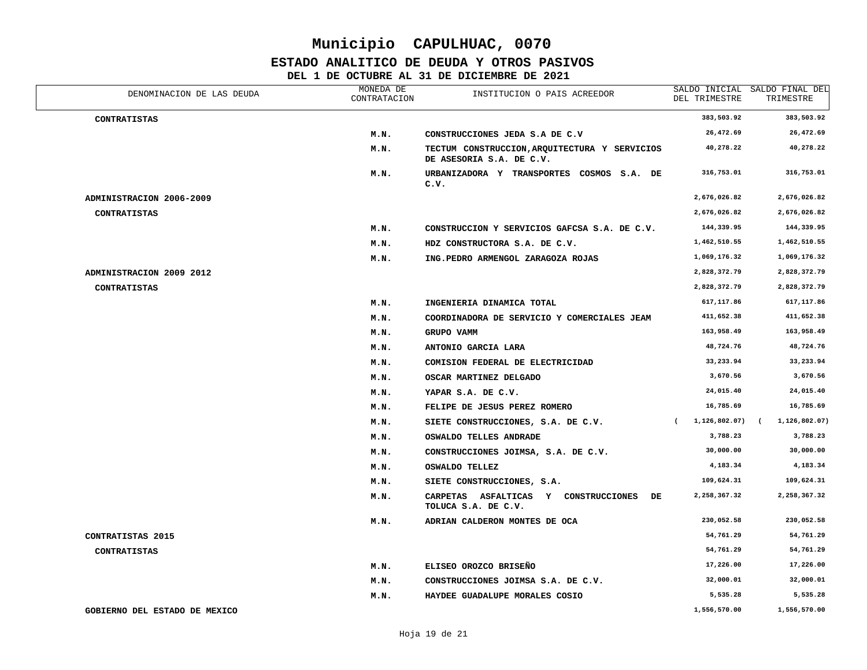#### **ESTADO ANALITICO DE DEUDA Y OTROS PASIVOS**

| DENOMINACION DE LAS DEUDA     | MONEDA DE<br>CONTRATACION | INSTITUCION O PAIS ACREEDOR                                                 | DEL TRIMESTRE    | SALDO INICIAL SALDO FINAL DEL<br>TRIMESTRE |
|-------------------------------|---------------------------|-----------------------------------------------------------------------------|------------------|--------------------------------------------|
| <b>CONTRATISTAS</b>           |                           |                                                                             | 383,503.92       | 383,503.92                                 |
|                               | M.N.                      | CONSTRUCCIONES JEDA S.A DE C.V                                              | 26,472.69        | 26,472.69                                  |
|                               | M.N.                      | TECTUM CONSTRUCCION, ARQUITECTURA Y SERVICIOS<br>DE ASESORIA S.A. DE C.V.   | 40,278.22        | 40,278.22                                  |
|                               | M.N.                      | URBANIZADORA Y TRANSPORTES COSMOS S.A. DE<br>c.v.                           | 316,753.01       | 316,753.01                                 |
| ADMINISTRACION 2006-2009      |                           |                                                                             | 2,676,026.82     | 2,676,026.82                               |
| <b>CONTRATISTAS</b>           |                           |                                                                             | 2,676,026.82     | 2,676,026.82                               |
|                               | M.N.                      | CONSTRUCCION Y SERVICIOS GAFCSA S.A. DE C.V.                                | 144,339.95       | 144,339.95                                 |
|                               | M.N.                      | HDZ CONSTRUCTORA S.A. DE C.V.                                               | 1,462,510.55     | 1,462,510.55                               |
|                               | M.N.                      | ING.PEDRO ARMENGOL ZARAGOZA ROJAS                                           | 1,069,176.32     | 1,069,176.32                               |
| ADMINISTRACION 2009 2012      |                           |                                                                             | 2,828,372.79     | 2,828,372.79                               |
| <b>CONTRATISTAS</b>           |                           |                                                                             | 2,828,372.79     | 2,828,372.79                               |
|                               | M.N.                      | INGENIERIA DINAMICA TOTAL                                                   | 617, 117.86      | 617, 117.86                                |
|                               | M.N.                      | COORDINADORA DE SERVICIO Y COMERCIALES JEAM                                 | 411,652.38       | 411,652.38                                 |
|                               | M.N.                      | GRUPO VAMM                                                                  | 163,958.49       | 163,958.49                                 |
|                               | M.N.                      | ANTONIO GARCIA LARA                                                         | 48,724.76        | 48,724.76                                  |
|                               | M.N.                      | COMISION FEDERAL DE ELECTRICIDAD                                            | 33,233.94        | 33,233.94                                  |
|                               | M.N.                      | OSCAR MARTINEZ DELGADO                                                      | 3,670.56         | 3,670.56                                   |
|                               | M.N.                      | YAPAR S.A. DE C.V.                                                          | 24,015.40        | 24,015.40                                  |
|                               | M.N.                      | FELIPE DE JESUS PEREZ ROMERO                                                | 16,785.69        | 16,785.69                                  |
|                               | M.N.                      | SIETE CONSTRUCCIONES, S.A. DE C.V.                                          | (1, 126, 802.07) | 1,126,802.07)                              |
|                               | M.N.                      | OSWALDO TELLES ANDRADE                                                      | 3,788.23         | 3,788.23                                   |
|                               | M.N.                      | CONSTRUCCIONES JOIMSA, S.A. DE C.V.                                         | 30,000.00        | 30,000.00                                  |
|                               | M.N.                      | OSWALDO TELLEZ                                                              | 4,183.34         | 4,183.34                                   |
|                               | M.N.                      | SIETE CONSTRUCCIONES, S.A.                                                  | 109,624.31       | 109,624.31                                 |
|                               | M.N.                      | <b>CARPETAS</b><br>ASFALTICAS Y CONSTRUCCIONES<br>DE<br>TOLUCA S.A. DE C.V. | 2,258,367.32     | 2,258,367.32                               |
|                               | M.N.                      | ADRIAN CALDERON MONTES DE OCA                                               | 230,052.58       | 230,052.58                                 |
| CONTRATISTAS 2015             |                           |                                                                             | 54,761.29        | 54,761.29                                  |
| <b>CONTRATISTAS</b>           |                           |                                                                             | 54,761.29        | 54,761.29                                  |
|                               | M.N.                      | ELISEO OROZCO BRISEÑO                                                       | 17,226.00        | 17,226.00                                  |
|                               | M.N.                      | CONSTRUCCIONES JOIMSA S.A. DE C.V.                                          | 32,000.01        | 32,000.01                                  |
|                               | M.N.                      | HAYDEE GUADALUPE MORALES COSIO                                              | 5,535.28         | 5,535.28                                   |
| GOBIERNO DEL ESTADO DE MEXICO |                           |                                                                             | 1,556,570.00     | 1,556,570.00                               |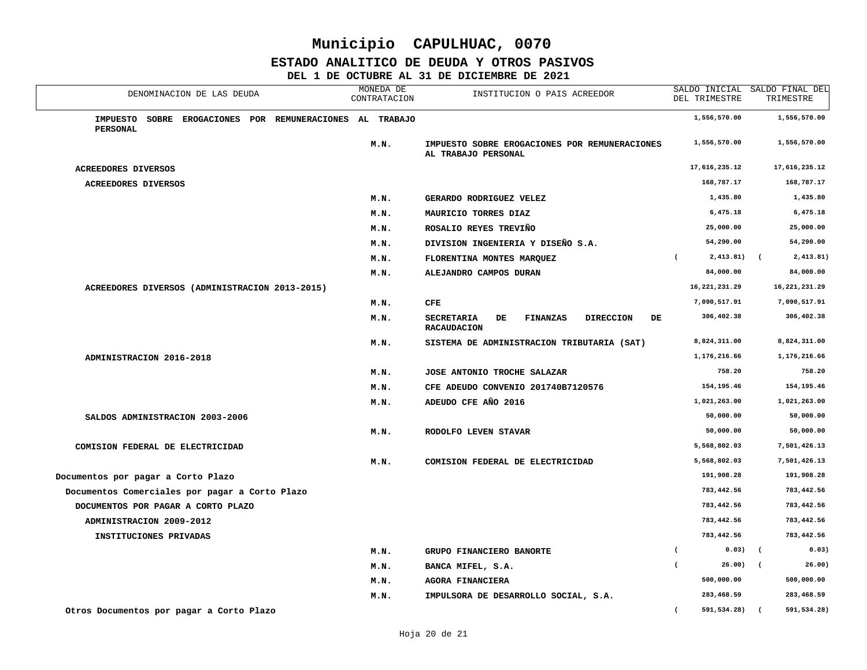#### **ESTADO ANALITICO DE DEUDA Y OTROS PASIVOS**

| DENOMINACION DE LAS DEUDA                                                             | MONEDA DE<br>CONTRATACION | INSTITUCION O PAIS ACREEDOR                                                                | DEL TRIMESTRE                 | SALDO INICIAL SALDO FINAL DEL<br>TRIMESTRE |
|---------------------------------------------------------------------------------------|---------------------------|--------------------------------------------------------------------------------------------|-------------------------------|--------------------------------------------|
| <b>IMPUESTO</b><br>SOBRE EROGACIONES POR REMUNERACIONES AL TRABAJO<br><b>PERSONAL</b> |                           |                                                                                            | 1,556,570.00                  | 1,556,570.00                               |
|                                                                                       | M.N.                      | IMPUESTO SOBRE EROGACIONES POR REMUNERACIONES<br>AL TRABAJO PERSONAL                       | 1,556,570.00                  | 1,556,570.00                               |
| <b>ACREEDORES DIVERSOS</b>                                                            |                           |                                                                                            | 17,616,235.12                 | 17,616,235.12                              |
| <b>ACREEDORES DIVERSOS</b>                                                            |                           |                                                                                            | 168,787.17                    | 168,787.17                                 |
|                                                                                       | M.N.                      | GERARDO RODRIGUEZ VELEZ                                                                    | 1,435.80                      | 1,435.80                                   |
|                                                                                       | M.N.                      | MAURICIO TORRES DIAZ                                                                       | 6,475.18                      | 6,475.18                                   |
|                                                                                       | M.N.                      | ROSALIO REYES TREVIÑO                                                                      | 25,000.00                     | 25,000.00                                  |
|                                                                                       | M.N.                      | DIVISION INGENIERIA Y DISEÑO S.A.                                                          | 54,290.00                     | 54,290.00                                  |
|                                                                                       | M.N.                      | FLORENTINA MONTES MARQUEZ                                                                  | $2,413.81$ (<br>$\epsilon$    | 2,413.81)                                  |
|                                                                                       | M.N.                      | ALEJANDRO CAMPOS DURAN                                                                     | 84,000.00                     | 84,000.00                                  |
| ACREEDORES DIVERSOS (ADMINISTRACION 2013-2015)                                        |                           |                                                                                            | 16, 221, 231. 29              | 16,221,231.29                              |
|                                                                                       | M.N.                      | CFE                                                                                        | 7,090,517.91                  | 7,090,517.91                               |
|                                                                                       | M.N.                      | <b>SECRETARIA</b><br>DE<br><b>FINANZAS</b><br><b>DIRECCION</b><br>DE<br><b>RACAUDACION</b> | 306,402.38                    | 306,402.38                                 |
|                                                                                       | M.N.                      | SISTEMA DE ADMINISTRACION TRIBUTARIA (SAT)                                                 | 8,824,311.00                  | 8,824,311.00                               |
| ADMINISTRACION 2016-2018                                                              |                           |                                                                                            | 1,176,216.66                  | 1,176,216.66                               |
|                                                                                       | M.N.                      | JOSE ANTONIO TROCHE SALAZAR                                                                | 758.20                        | 758.20                                     |
|                                                                                       | M.N.                      | CFE ADEUDO CONVENIO 201740B7120576                                                         | 154,195.46                    | 154,195.46                                 |
|                                                                                       | M.N.                      | ADEUDO CFE AÑO 2016                                                                        | 1,021,263.00                  | 1,021,263.00                               |
| SALDOS ADMINISTRACION 2003-2006                                                       |                           |                                                                                            | 50,000.00                     | 50,000.00                                  |
|                                                                                       | M.N.                      | RODOLFO LEVEN STAVAR                                                                       | 50,000.00                     | 50,000.00                                  |
| COMISION FEDERAL DE ELECTRICIDAD                                                      |                           |                                                                                            | 5,568,802.03                  | 7,501,426.13                               |
|                                                                                       | M.N.                      | COMISION FEDERAL DE ELECTRICIDAD                                                           | 5,568,802.03                  | 7,501,426.13                               |
| Documentos por pagar a Corto Plazo                                                    |                           |                                                                                            | 191,908.28                    | 191,908.28                                 |
| Documentos Comerciales por pagar a Corto Plazo                                        |                           |                                                                                            | 783,442.56                    | 783,442.56                                 |
| DOCUMENTOS POR PAGAR A CORTO PLAZO                                                    |                           |                                                                                            | 783,442.56                    | 783,442.56                                 |
| ADMINISTRACION 2009-2012                                                              |                           |                                                                                            | 783,442.56                    | 783,442.56                                 |
| INSTITUCIONES PRIVADAS                                                                |                           |                                                                                            | 783,442.56                    | 783,442.56                                 |
|                                                                                       | M.N.                      | GRUPO FINANCIERO BANORTE                                                                   | $0.03)$ (<br>$\overline{ }$   | 0.03)                                      |
|                                                                                       | M.N.                      | BANCA MIFEL, S.A.                                                                          | 26.00)                        | 26.00)<br>$\sqrt{2}$                       |
|                                                                                       | M.N.                      | AGORA FINANCIERA                                                                           | 500,000.00                    | 500,000.00                                 |
|                                                                                       | M.N.                      | IMPULSORA DE DESARROLLO SOCIAL, S.A.                                                       | 283,468.59                    | 283,468.59                                 |
| Otros Documentos por pagar a Corto Plazo                                              |                           |                                                                                            | $\overline{ }$<br>591,534.28) | $\sqrt{2}$<br>591,534.28)                  |